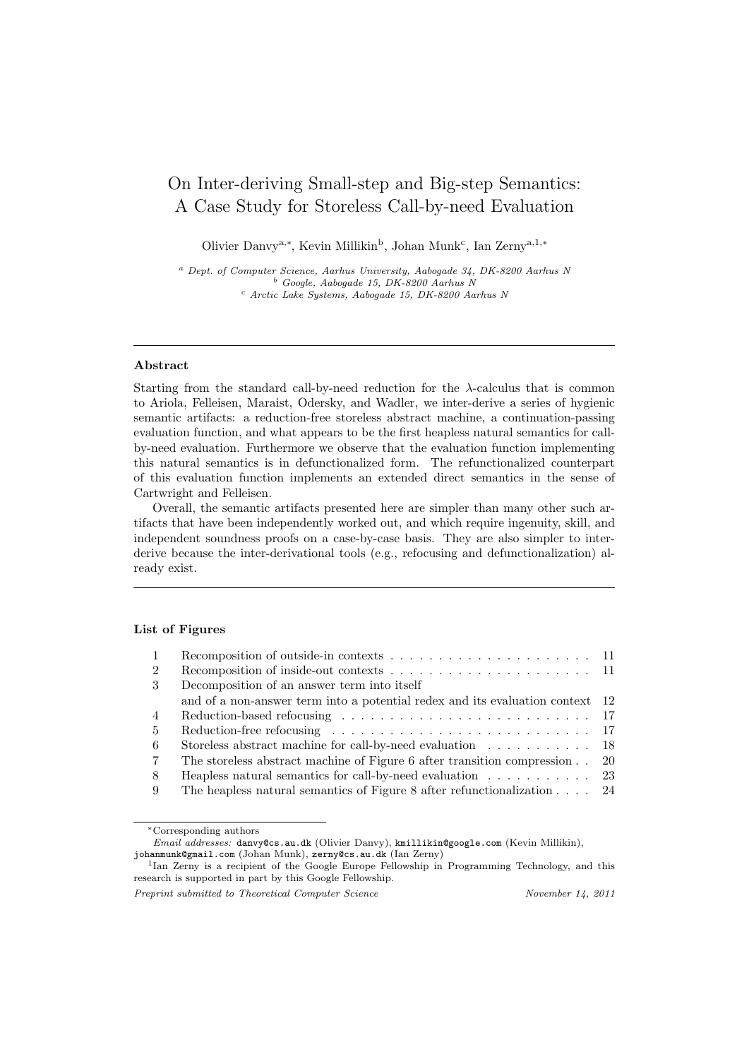# On Inter-deriving Small-step and Big-step Semantics: A Case Study for Storeless Call-by-need Evaluation

Olivier Danvy<sup>a,\*</sup>, Kevin Millikin<sup>b</sup>, Johan Munk<sup>c</sup>, Ian Zerny<sup>a,1,\*</sup>

<sup>a</sup> Dept. of Computer Science, Aarhus University, Aabogade 34, DK-8200 Aarhus N <sup>b</sup> Google, Aabogade 15, DK-8200 Aarhus N <sup>c</sup> Arctic Lake Systems, Aabogade 15, DK-8200 Aarhus N

#### Abstract

Starting from the standard call-by-need reduction for the  $\lambda$ -calculus that is common to Ariola, Felleisen, Maraist, Odersky, and Wadler, we inter-derive a series of hygienic semantic artifacts: a reduction-free storeless abstract machine, a continuation-passing evaluation function, and what appears to be the first heapless natural semantics for callby-need evaluation. Furthermore we observe that the evaluation function implementing this natural semantics is in defunctionalized form. The refunctionalized counterpart of this evaluation function implements an extended direct semantics in the sense of Cartwright and Felleisen.

Overall, the semantic artifacts presented here are simpler than many other such artifacts that have been independently worked out, and which require ingenuity, skill, and independent soundness proofs on a case-by-case basis. They are also simpler to interderive because the inter-derivational tools (e.g., refocusing and defunctionalization) already exist.

## List of Figures

| $\overline{1}$  |                                                                                     |  |
|-----------------|-------------------------------------------------------------------------------------|--|
| 2               |                                                                                     |  |
| -3              | Decomposition of an answer term into itself                                         |  |
|                 | and of a non-answer term into a potential redex and its evaluation context 12       |  |
| $\overline{4}$  |                                                                                     |  |
| $\frac{5}{2}$   |                                                                                     |  |
| -6              | Storeless abstract machine for call-by-need evaluation 18                           |  |
| $7\overline{ }$ | The storeless abstract machine of Figure 6 after transition compression 20          |  |
| -8              | Heapless natural semantics for call-by-need evaluation $\dots \dots \dots \dots$ 23 |  |
| -9              | The heapless natural semantics of Figure 8 after refunctionalization $\ldots$ 24    |  |

<sup>∗</sup>Corresponding authors

Email addresses: danvy@cs.au.dk (Olivier Danvy), kmillikin@google.com (Kevin Millikin), johanmunk@gmail.com (Johan Munk), zerny@cs.au.dk (Ian Zerny)

<sup>&</sup>lt;sup>1</sup>Ian Zerny is a recipient of the Google Europe Fellowship in Programming Technology, and this research is supported in part by this Google Fellowship.

Preprint submitted to Theoretical Computer Science November 14, 2011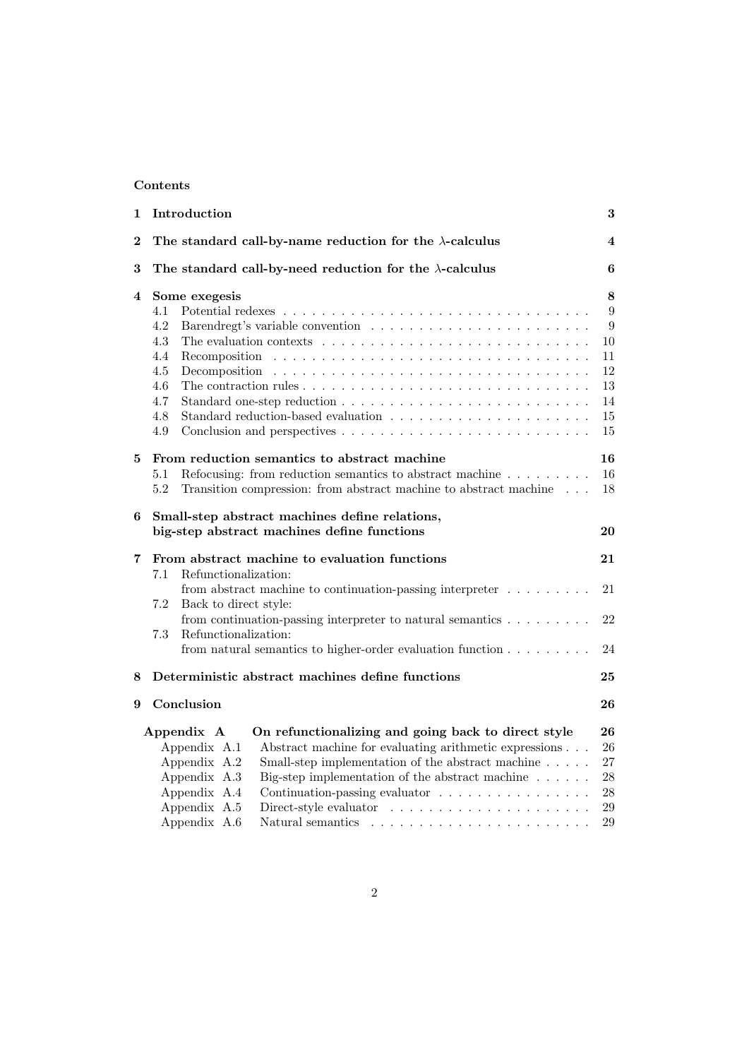# Contents

| 1        | Introduction                                                                                                                                                                                                                                                                                                                                                                          | 3                                                         |  |
|----------|---------------------------------------------------------------------------------------------------------------------------------------------------------------------------------------------------------------------------------------------------------------------------------------------------------------------------------------------------------------------------------------|-----------------------------------------------------------|--|
| $\bf{2}$ | The standard call-by-name reduction for the $\lambda$ -calculus                                                                                                                                                                                                                                                                                                                       |                                                           |  |
| 3        | The standard call-by-need reduction for the $\lambda$ -calculus                                                                                                                                                                                                                                                                                                                       |                                                           |  |
| 4        | Some exegesis<br>4.1<br>4.2<br>4.3<br>The evaluation contexts $\ldots \ldots \ldots \ldots \ldots \ldots \ldots \ldots \ldots$<br>4.4<br>4.5<br>4.6<br>4.7<br>4.8<br>4.9                                                                                                                                                                                                              | 8<br>9<br>9<br>$10\,$<br>11<br>12<br>13<br>14<br>15<br>15 |  |
| 5        | From reduction semantics to abstract machine<br>Refocusing: from reduction semantics to abstract machine<br>5.1<br>5.2<br>Transition compression: from abstract machine to abstract machine                                                                                                                                                                                           |                                                           |  |
| 6        | Small-step abstract machines define relations,<br>big-step abstract machines define functions                                                                                                                                                                                                                                                                                         | 20                                                        |  |
| 7        | From abstract machine to evaluation functions                                                                                                                                                                                                                                                                                                                                         | 21                                                        |  |
|          | Refunctionalization:<br>7.1<br>from abstract machine to continuation-passing interpreter $\dots \dots \dots$<br>7.2<br>Back to direct style:                                                                                                                                                                                                                                          | 21<br>22                                                  |  |
|          | from continuation-passing interpreter to natural semantics $\dots \dots \dots$<br>7.3<br>Refunctionalization:                                                                                                                                                                                                                                                                         |                                                           |  |
|          | from natural semantics to higher-order evaluation function $\dots \dots \dots$                                                                                                                                                                                                                                                                                                        | 24                                                        |  |
| 8        | Deterministic abstract machines define functions                                                                                                                                                                                                                                                                                                                                      | 25                                                        |  |
| 9        | Conclusion                                                                                                                                                                                                                                                                                                                                                                            | 26                                                        |  |
|          | On refunctionalizing and going back to direct style<br>Appendix A<br>Appendix A.1<br>Abstract machine for evaluating arithmetic expressions<br>Appendix A.2<br>Small-step implementation of the abstract machine<br>Appendix A.3<br>Big-step implementation of the abstract machine $\ldots \ldots$<br>Appendix A.4<br>Continuation-passing evaluator<br>Appendix A.5<br>Appendix A.6 | 26<br>26<br>27<br>28<br>$28\,$<br>29<br>29                |  |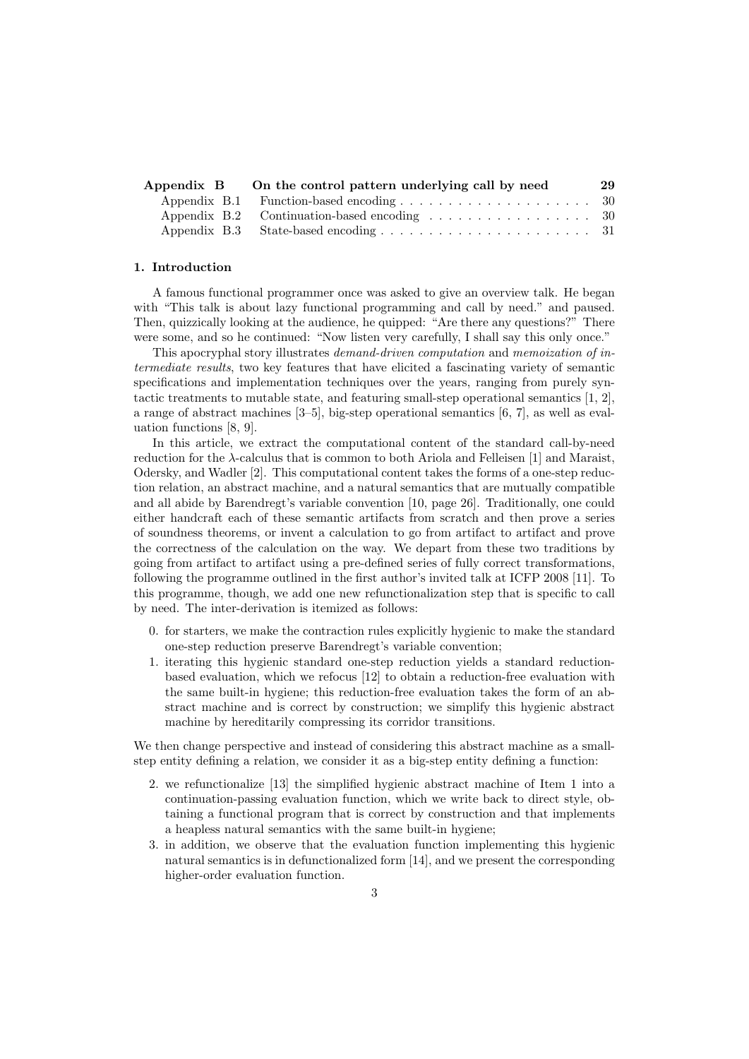| Appendix B On the control pattern underlying call by need | 29 |
|-----------------------------------------------------------|----|
|                                                           |    |
|                                                           |    |
|                                                           |    |

#### 1. Introduction

A famous functional programmer once was asked to give an overview talk. He began with "This talk is about lazy functional programming and call by need." and paused. Then, quizzically looking at the audience, he quipped: "Are there any questions?" There were some, and so he continued: "Now listen very carefully, I shall say this only once."

This apocryphal story illustrates demand-driven computation and memoization of intermediate results, two key features that have elicited a fascinating variety of semantic specifications and implementation techniques over the years, ranging from purely syntactic treatments to mutable state, and featuring small-step operational semantics [1, 2], a range of abstract machines [3–5], big-step operational semantics [6, 7], as well as evaluation functions [8, 9].

In this article, we extract the computational content of the standard call-by-need reduction for the  $\lambda$ -calculus that is common to both Ariola and Felleisen [1] and Maraist, Odersky, and Wadler [2]. This computational content takes the forms of a one-step reduction relation, an abstract machine, and a natural semantics that are mutually compatible and all abide by Barendregt's variable convention [10, page 26]. Traditionally, one could either handcraft each of these semantic artifacts from scratch and then prove a series of soundness theorems, or invent a calculation to go from artifact to artifact and prove the correctness of the calculation on the way. We depart from these two traditions by going from artifact to artifact using a pre-defined series of fully correct transformations, following the programme outlined in the first author's invited talk at ICFP 2008 [11]. To this programme, though, we add one new refunctionalization step that is specific to call by need. The inter-derivation is itemized as follows:

- 0. for starters, we make the contraction rules explicitly hygienic to make the standard one-step reduction preserve Barendregt's variable convention;
- 1. iterating this hygienic standard one-step reduction yields a standard reductionbased evaluation, which we refocus [12] to obtain a reduction-free evaluation with the same built-in hygiene; this reduction-free evaluation takes the form of an abstract machine and is correct by construction; we simplify this hygienic abstract machine by hereditarily compressing its corridor transitions.

We then change perspective and instead of considering this abstract machine as a smallstep entity defining a relation, we consider it as a big-step entity defining a function:

- 2. we refunctionalize [13] the simplified hygienic abstract machine of Item 1 into a continuation-passing evaluation function, which we write back to direct style, obtaining a functional program that is correct by construction and that implements a heapless natural semantics with the same built-in hygiene;
- 3. in addition, we observe that the evaluation function implementing this hygienic natural semantics is in defunctionalized form [14], and we present the corresponding higher-order evaluation function.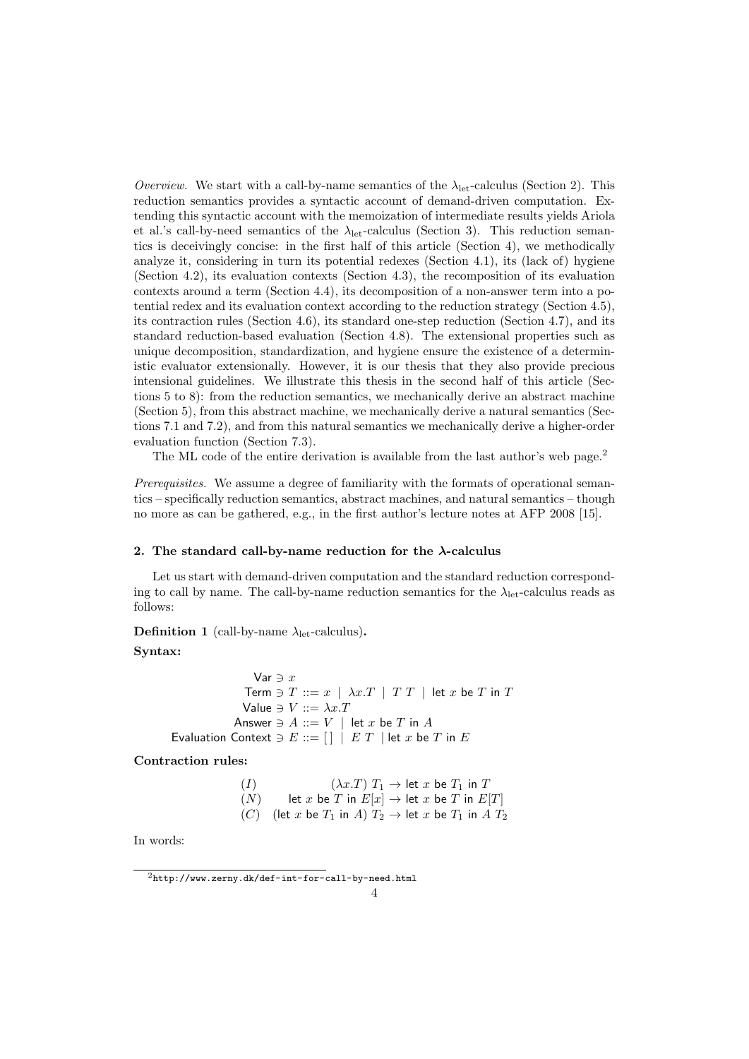Overview. We start with a call-by-name semantics of the  $\lambda_{\rm let}$ -calculus (Section 2). This reduction semantics provides a syntactic account of demand-driven computation. Extending this syntactic account with the memoization of intermediate results yields Ariola et al.'s call-by-need semantics of the  $\lambda_{\rm let}$ -calculus (Section 3). This reduction semantics is deceivingly concise: in the first half of this article (Section 4), we methodically analyze it, considering in turn its potential redexes (Section 4.1), its (lack of) hygiene (Section 4.2), its evaluation contexts (Section 4.3), the recomposition of its evaluation contexts around a term (Section 4.4), its decomposition of a non-answer term into a potential redex and its evaluation context according to the reduction strategy (Section 4.5), its contraction rules (Section 4.6), its standard one-step reduction (Section 4.7), and its standard reduction-based evaluation (Section 4.8). The extensional properties such as unique decomposition, standardization, and hygiene ensure the existence of a deterministic evaluator extensionally. However, it is our thesis that they also provide precious intensional guidelines. We illustrate this thesis in the second half of this article (Sections 5 to 8): from the reduction semantics, we mechanically derive an abstract machine (Section 5), from this abstract machine, we mechanically derive a natural semantics (Sections 7.1 and 7.2), and from this natural semantics we mechanically derive a higher-order evaluation function (Section 7.3).

The ML code of the entire derivation is available from the last author's web page.<sup>2</sup>

Prerequisites. We assume a degree of familiarity with the formats of operational semantics – specifically reduction semantics, abstract machines, and natural semantics – though no more as can be gathered, e.g., in the first author's lecture notes at AFP 2008 [15].

#### 2. The standard call-by-name reduction for the  $\lambda$ -calculus

Let us start with demand-driven computation and the standard reduction corresponding to call by name. The call-by-name reduction semantics for the  $\lambda_{\rm let}$ -calculus reads as follows:

**Definition 1** (call-by-name  $\lambda_{\text{let}}$ -calculus).

# Syntax:

Var  $\ni x$ Term  $\ni$   $T ::= x \mid \lambda x.T \mid T T \mid$  let  $x$  be  $T$  in  $T$ Value  $\ni V ::= \lambda x.T$ Answer  $\ni A ::= V \mid \text{let } x \text{ be } T \text{ in } A$ Evaluation Context  $\ni E ::= [ ] | E T |$  let x be T in E

Contraction rules:

(I)  $(\lambda x.T) T_1 \rightarrow \text{let } x \text{ be } T_1 \text{ in } T$ <br>(N)  $\text{let } x \text{ be } T \text{ in } E[x] \rightarrow \text{let } x \text{ be } T \text{ in } E[$ let x be T in  $E[x] \rightarrow$  let x be T in  $E[T]$ (C) (let x be  $T_1$  in A)  $T_2 \rightarrow$  let x be  $T_1$  in A  $T_2$ 

In words:

 $2$ http://www.zerny.dk/def-int-for-call-by-need.html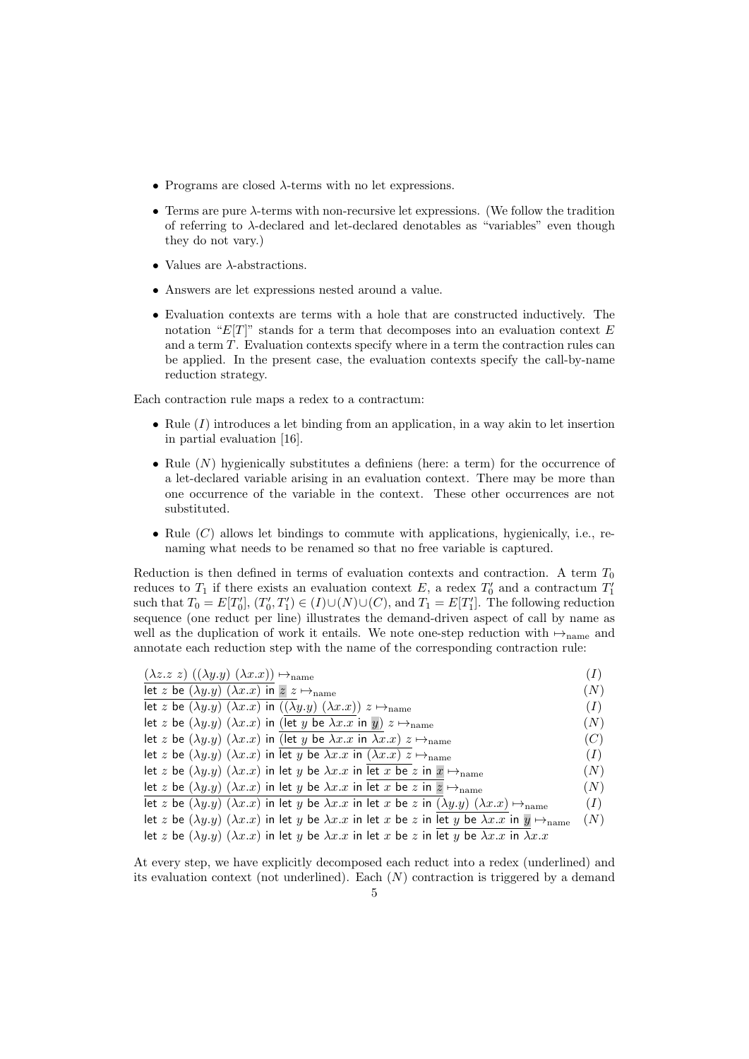- Programs are closed  $\lambda$ -terms with no let expressions.
- Terms are pure λ-terms with non-recursive let expressions. (We follow the tradition of referring to λ-declared and let-declared denotables as "variables" even though they do not vary.)
- Values are  $\lambda$ -abstractions.
- Answers are let expressions nested around a value.
- Evaluation contexts are terms with a hole that are constructed inductively. The notation " $E[T]$ " stands for a term that decomposes into an evaluation context  $E$ and a term T. Evaluation contexts specify where in a term the contraction rules can be applied. In the present case, the evaluation contexts specify the call-by-name reduction strategy.

Each contraction rule maps a redex to a contractum:

- Rule  $(I)$  introduces a let binding from an application, in a way akin to let insertion in partial evaluation [16].
- Rule  $(N)$  hygienically substitutes a definiens (here: a term) for the occurrence of a let-declared variable arising in an evaluation context. There may be more than one occurrence of the variable in the context. These other occurrences are not substituted.
- Rule  $(C)$  allows let bindings to commute with applications, hygienically, i.e., renaming what needs to be renamed so that no free variable is captured.

Reduction is then defined in terms of evaluation contexts and contraction. A term  $T_0$ reduces to  $T_1$  if there exists an evaluation context E, a redex  $T'_0$  and a contractum  $T'_1$ such that  $T_0 = E[T'_0], (T'_0, T'_1) \in (I) \cup (N) \cup (C)$ , and  $T_1 = E[T'_1]$ . The following reduction sequence (one reduct per line) illustrates the demand-driven aspect of call by name as well as the duplication of work it entails. We note one-step reduction with  $\rightarrow$ <sub>name</sub> and annotate each reduction step with the name of the corresponding contraction rule:

| $(\lambda z. z z) ((\lambda y. y) (\lambda x. x)) \mapsto_{\text{name}}$                                                                         |     |
|--------------------------------------------------------------------------------------------------------------------------------------------------|-----|
| let z be $(\lambda y. y)$ $(\lambda x. x)$ in $z \mapsto_{\text{name}}$                                                                          | (N) |
| let z be $(\lambda y. y)$ $(\lambda x. x)$ in $((\lambda y. y)$ $(\lambda x. x))$ $z \mapsto_{\text{name}}$                                      | (I) |
| let z be $(\lambda y. y)$ $(\lambda x. x)$ in (let y be $\lambda x. x$ in y) $z \mapsto_{\text{name}}$                                           | (N) |
| let z be $(\lambda y. y)$ $(\lambda x. x)$ in (let y be $\lambda x. x$ in $\lambda x. x$ ) $z \mapsto_{\text{name}}$                             | (C) |
| let z be $(\lambda y. y)$ $(\lambda x. x)$ in let y be $\lambda x. x$ in $(\lambda x. x)$ $z \mapsto_{\text{name}}$                              | (I) |
| let z be $(\lambda y. y)$ $(\lambda x. x)$ in let y be $\lambda x. x$ in let x be z in $x \mapsto_{\text{name}}$                                 | (N) |
| let z be $(\lambda y. y)$ $(\lambda x. x)$ in let y be $\lambda x. x$ in let x be z in $z \mapsto_{\text{name}}$                                 | (N) |
| let z be $(\lambda y. y)$ $(\lambda x. x)$ in let y be $\lambda x. x$ in let x be z in $(\lambda y. y)$ $(\lambda x. x) \mapsto$ <sub>name</sub> | (I) |
| let z be $(\lambda y. y)$ $(\lambda x. x)$ in let y be $\lambda x. x$ in let x be z in let y be $\lambda x. x$ in $y \mapsto$ hame               | (N) |
| let z be $(\lambda y. y)$ $(\lambda x. x)$ in let y be $\lambda x. x$ in let x be z in let y be $\lambda x. x$ in $\lambda x. x$                 |     |

At every step, we have explicitly decomposed each reduct into a redex (underlined) and its evaluation context (not underlined). Each  $(N)$  contraction is triggered by a demand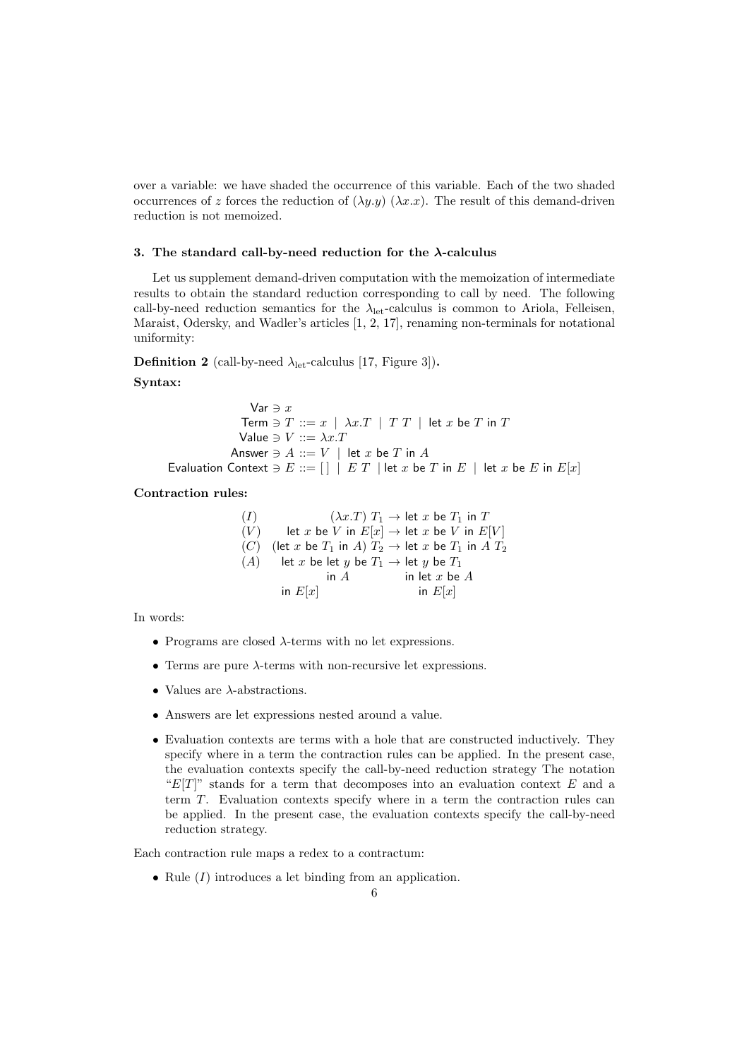over a variable: we have shaded the occurrence of this variable. Each of the two shaded occurrences of z forces the reduction of  $(\lambda y. y)$   $(\lambda x. x)$ . The result of this demand-driven reduction is not memoized.

#### 3. The standard call-by-need reduction for the  $\lambda$ -calculus

Let us supplement demand-driven computation with the memoization of intermediate results to obtain the standard reduction corresponding to call by need. The following call-by-need reduction semantics for the  $\lambda_{\rm let}$ -calculus is common to Ariola, Felleisen, Maraist, Odersky, and Wadler's articles [1, 2, 17], renaming non-terminals for notational uniformity:

**Definition 2** (call-by-need  $\lambda_{\text{let}}$ -calculus [17, Figure 3]).

# Syntax:

Var  $\ni x$ Term  $\ni$   $T ::= x \mid \lambda x.T \mid T T \mid$  let  $x$  be  $T$  in  $T$ Value  $\ni V ::= \lambda x.T$ Answer  $\ni A ::= V \mid$  let x be T in A Evaluation Context  $\ni E ::= [\ ] \ | \ E \ T \ |$  let x be T in  $E \ |$  let x be E in  $E[x]$ 

## Contraction rules:

| (I) |                                                          | $(\lambda x.T) T_1 \rightarrow$ let x be $T_1$ in T               |
|-----|----------------------------------------------------------|-------------------------------------------------------------------|
| (V) |                                                          | let x be V in $E[x] \rightarrow$ let x be V in $E[V]$             |
| (C) |                                                          | (let x be $T_1$ in A) $T_2 \rightarrow$ let x be $T_1$ in A $T_2$ |
|     | $(A)$ let x be let y be $T_1 \rightarrow$ let y be $T_1$ |                                                                   |
|     | in $A$                                                   | in let $x$ be $A$                                                 |
|     | in $E[x]$                                                | in $E[x]$                                                         |

In words:

- Programs are closed  $\lambda$ -terms with no let expressions.
- Terms are pure  $\lambda$ -terms with non-recursive let expressions.
- Values are  $\lambda$ -abstractions.
- Answers are let expressions nested around a value.
- Evaluation contexts are terms with a hole that are constructed inductively. They specify where in a term the contraction rules can be applied. In the present case, the evaluation contexts specify the call-by-need reduction strategy The notation " $E[T]$ " stands for a term that decomposes into an evaluation context E and a term T. Evaluation contexts specify where in a term the contraction rules can be applied. In the present case, the evaluation contexts specify the call-by-need reduction strategy.

Each contraction rule maps a redex to a contractum:

• Rule  $(I)$  introduces a let binding from an application.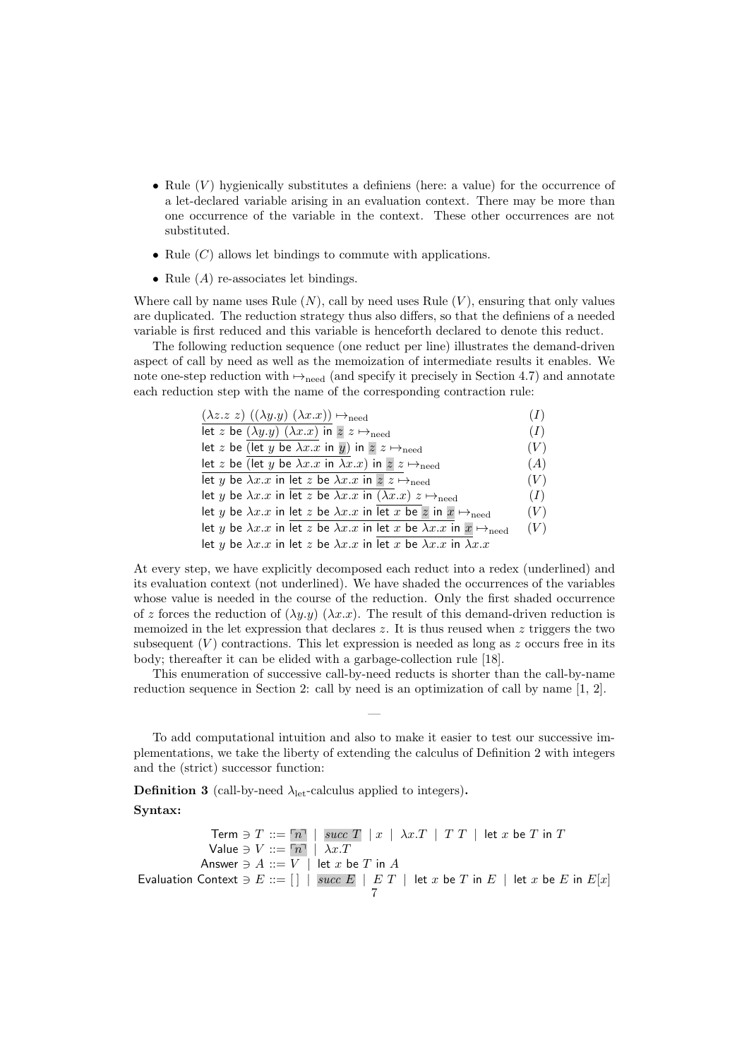- Rule  $(V)$  hygienically substitutes a definiens (here: a value) for the occurrence of a let-declared variable arising in an evaluation context. There may be more than one occurrence of the variable in the context. These other occurrences are not substituted.
- Rule  $(C)$  allows let bindings to commute with applications.
- Rule  $(A)$  re-associates let bindings.

Where call by name uses Rule  $(N)$ , call by need uses Rule  $(V)$ , ensuring that only values are duplicated. The reduction strategy thus also differs, so that the definiens of a needed variable is first reduced and this variable is henceforth declared to denote this reduct.

The following reduction sequence (one reduct per line) illustrates the demand-driven aspect of call by need as well as the memoization of intermediate results it enables. We note one-step reduction with  $\mapsto$ <sub>need</sub> (and specify it precisely in Section 4.7) and annotate each reduction step with the name of the corresponding contraction rule:

| $(\lambda z. z z) ((\lambda y. y) (\lambda x. x)) \mapsto_{\text{need}}$                                | (I) |
|---------------------------------------------------------------------------------------------------------|-----|
| let z be $(\lambda y. y)$ $(\lambda x. x)$ in $z z \mapsto$ <sub>need</sub>                             | (I) |
| let z be (let y be $\lambda x.x$ in y) in $z \nightharpoonup_{\text{need}}$                             | (V) |
| let z be (let y be $\lambda x.x$ in $\lambda x.x$ ) in $z \mapsto$ <sub>need</sub>                      | (A) |
| let y be $\lambda x.x$ in let z be $\lambda x.x$ in $z \mapsto$ <sub>need</sub>                         | (V) |
| let y be $\lambda x.x$ in let z be $\lambda x.x$ in $(\lambda x.x)$ $z \mapsto$ <sub>need</sub>         | (I) |
| let y be $\lambda x.x$ in let z be $\lambda x.x$ in let x be z in $x \mapsto_{\text{need}}$             | (V) |
| let y be $\lambda x.x$ in let z be $\lambda x.x$ in let x be $\lambda x.x$ in $x \mapsto_{\text{need}}$ | (V) |
| let y be $\lambda x.x$ in let z be $\lambda x.x$ in let x be $\lambda x.x$ in $\lambda x.x$             |     |

At every step, we have explicitly decomposed each reduct into a redex (underlined) and its evaluation context (not underlined). We have shaded the occurrences of the variables whose value is needed in the course of the reduction. Only the first shaded occurrence of z forces the reduction of  $(\lambda y. y)$   $(\lambda x. x)$ . The result of this demand-driven reduction is memoized in the let expression that declares z. It is thus reused when z triggers the two subsequent  $(V)$  contractions. This let expression is needed as long as z occurs free in its body; thereafter it can be elided with a garbage-collection rule [18].

This enumeration of successive call-by-need reducts is shorter than the call-by-name reduction sequence in Section 2: call by need is an optimization of call by name [1, 2].

—

To add computational intuition and also to make it easier to test our successive implementations, we take the liberty of extending the calculus of Definition 2 with integers and the (strict) successor function:

**Definition 3** (call-by-need  $\lambda_{\text{let}}$ -calculus applied to integers).

Syntax:

Term  $\ni T ::= \lceil n \rceil$  | succ T | x |  $\lambda x.T$  | T T | let x be T in T Value  $\ni V ::= \boxed{n}$  |  $\lambda x.T$ Answer  $\ni A ::= V \mid$  let  $x$  be  $T$  in  $A$ Evaluation Context  $\ni E ::= \begin{bmatrix} \end{bmatrix} \mid succ E \mid E T \mid let x$  be T in  $E \mid let x$  be E in  $E[x]$ 7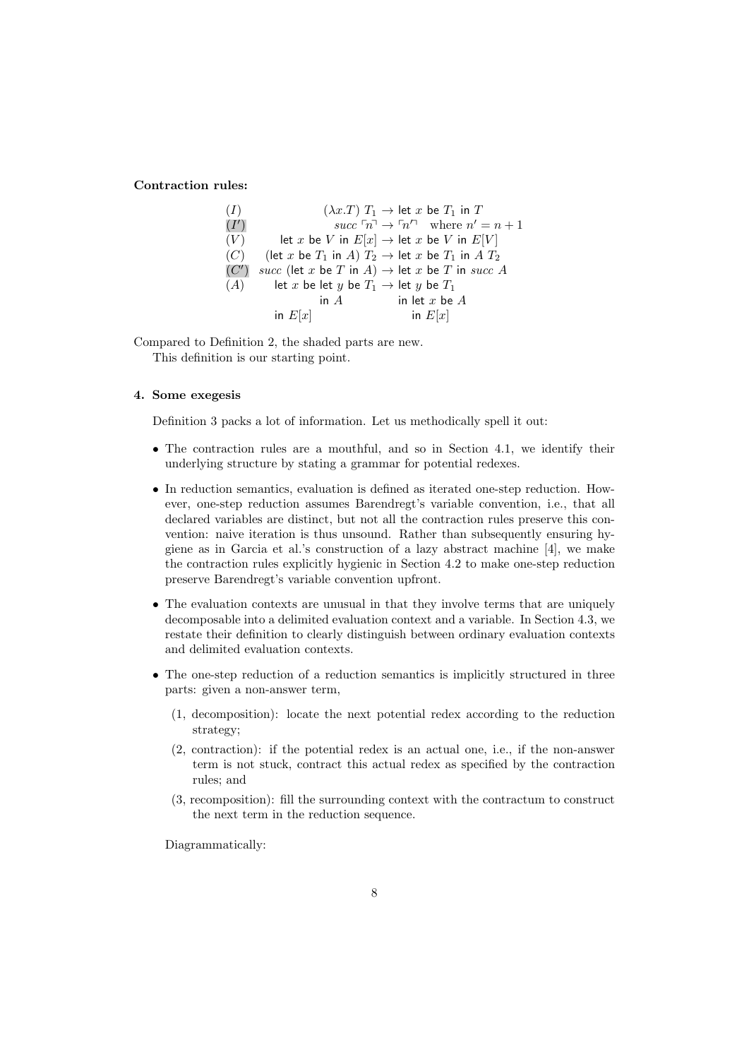# Contraction rules:

| (I)  |                                                                   | $(\lambda x.T) T_1 \rightarrow$ let x be $T_1$ in T                |
|------|-------------------------------------------------------------------|--------------------------------------------------------------------|
| (I') |                                                                   | succ $\lceil n \rceil \to \lceil n'^{n} \rceil$ where $n' = n + 1$ |
| (V)  | let x be V in $E[x] \rightarrow$ let x be V in $E[V]$             |                                                                    |
| (C)  | (let x be $T_1$ in A) $T_2 \rightarrow$ let x be $T_1$ in A $T_2$ |                                                                    |
| (C') | succ (let x be T in A) $\rightarrow$ let x be T in succ A         |                                                                    |
| (A)  | let x be let y be $T_1 \rightarrow$ let y be $T_1$                |                                                                    |
|      | in $A$                                                            | in let $x$ be $A$                                                  |
|      | in $E[x]$                                                         | in $E[x]$                                                          |

Compared to Definition 2, the shaded parts are new. This definition is our starting point.

# 4. Some exegesis

Definition 3 packs a lot of information. Let us methodically spell it out:

- The contraction rules are a mouthful, and so in Section 4.1, we identify their underlying structure by stating a grammar for potential redexes.
- In reduction semantics, evaluation is defined as iterated one-step reduction. However, one-step reduction assumes Barendregt's variable convention, i.e., that all declared variables are distinct, but not all the contraction rules preserve this convention: naive iteration is thus unsound. Rather than subsequently ensuring hygiene as in Garcia et al.'s construction of a lazy abstract machine [4], we make the contraction rules explicitly hygienic in Section 4.2 to make one-step reduction preserve Barendregt's variable convention upfront.
- The evaluation contexts are unusual in that they involve terms that are uniquely decomposable into a delimited evaluation context and a variable. In Section 4.3, we restate their definition to clearly distinguish between ordinary evaluation contexts and delimited evaluation contexts.
- The one-step reduction of a reduction semantics is implicitly structured in three parts: given a non-answer term,
	- (1, decomposition): locate the next potential redex according to the reduction strategy;
	- (2, contraction): if the potential redex is an actual one, i.e., if the non-answer term is not stuck, contract this actual redex as specified by the contraction rules; and
	- (3, recomposition): fill the surrounding context with the contractum to construct the next term in the reduction sequence.

Diagrammatically: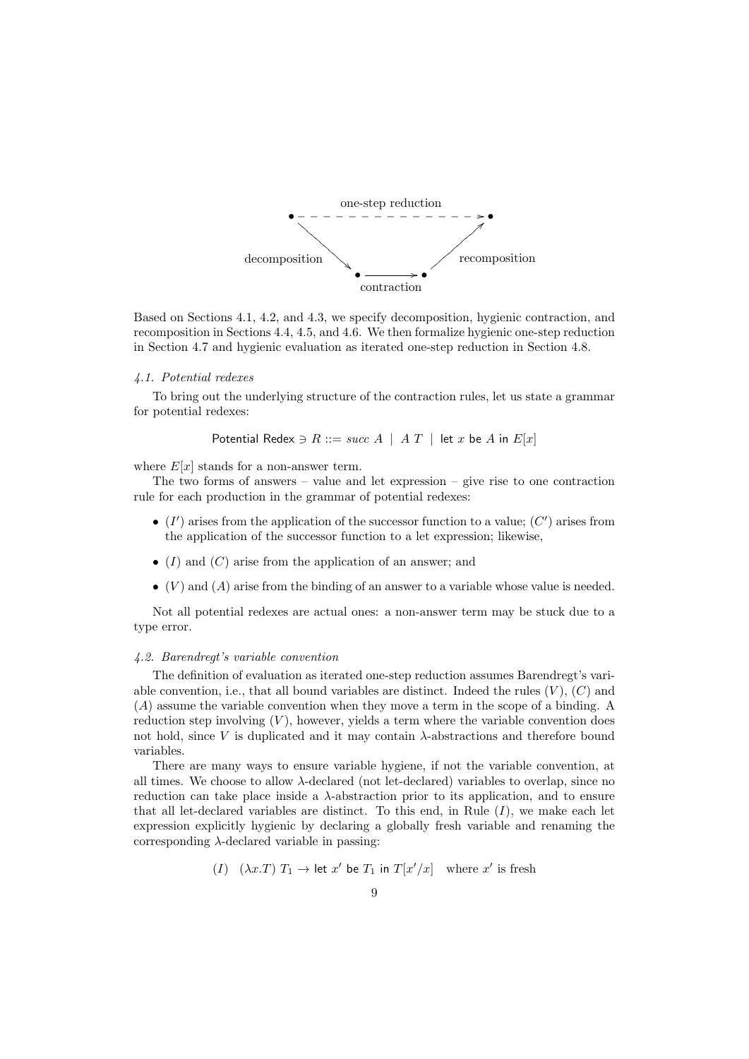

Based on Sections 4.1, 4.2, and 4.3, we specify decomposition, hygienic contraction, and recomposition in Sections 4.4, 4.5, and 4.6. We then formalize hygienic one-step reduction in Section 4.7 and hygienic evaluation as iterated one-step reduction in Section 4.8.

# 4.1. Potential redexes

To bring out the underlying structure of the contraction rules, let us state a grammar for potential redexes:

Potential Redex  $\ni R ::= succ A \mid AT \mid$  let x be A in  $E[x]$ 

where  $E[x]$  stands for a non-answer term.

The two forms of answers – value and let expression – give rise to one contraction rule for each production in the grammar of potential redexes:

- $\bullet$  (I') arises from the application of the successor function to a value; (C') arises from the application of the successor function to a let expression; likewise,
- $(I)$  and  $(C)$  arise from the application of an answer; and
- $\bullet$  (V) and (A) arise from the binding of an answer to a variable whose value is needed.

Not all potential redexes are actual ones: a non-answer term may be stuck due to a type error.

#### 4.2. Barendregt's variable convention

The definition of evaluation as iterated one-step reduction assumes Barendregt's variable convention, i.e., that all bound variables are distinct. Indeed the rules  $(V)$ ,  $(C)$  and (A) assume the variable convention when they move a term in the scope of a binding. A reduction step involving  $(V)$ , however, yields a term where the variable convention does not hold, since  $V$  is duplicated and it may contain  $\lambda$ -abstractions and therefore bound variables.

There are many ways to ensure variable hygiene, if not the variable convention, at all times. We choose to allow  $\lambda$ -declared (not let-declared) variables to overlap, since no reduction can take place inside a  $\lambda$ -abstraction prior to its application, and to ensure that all let-declared variables are distinct. To this end, in Rule  $(I)$ , we make each let expression explicitly hygienic by declaring a globally fresh variable and renaming the corresponding  $\lambda$ -declared variable in passing:

(I) 
$$
(\lambda x.T) T_1 \rightarrow
$$
 let x' be  $T_1$  in  $T[x'/x]$  where x' is fresh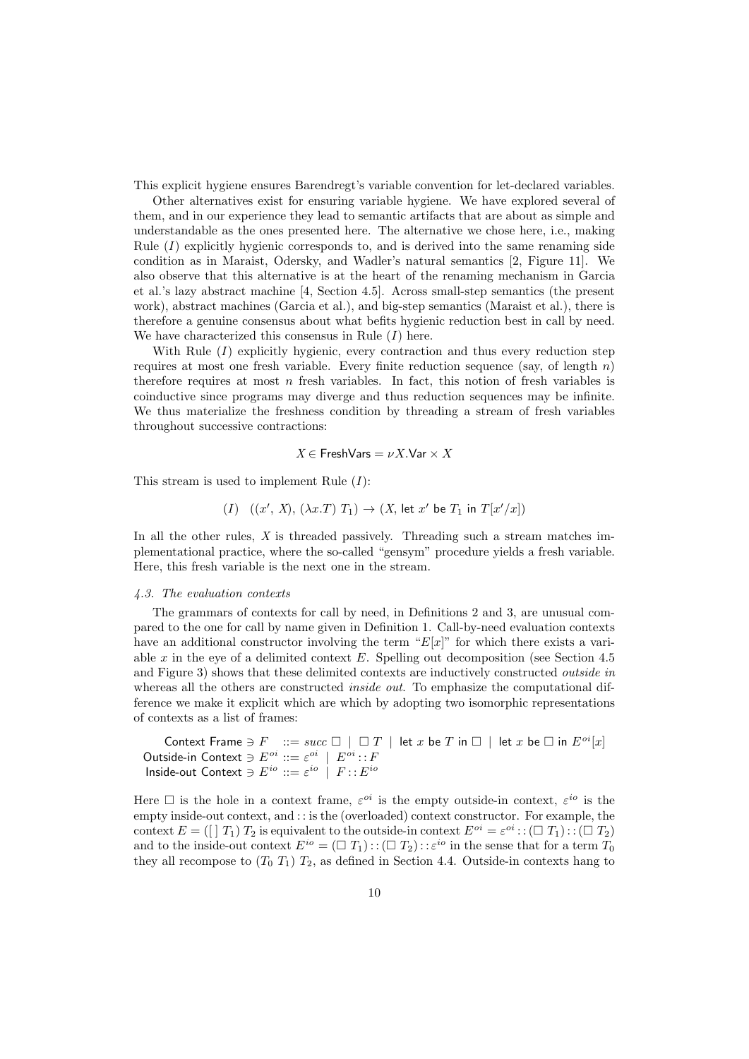This explicit hygiene ensures Barendregt's variable convention for let-declared variables.

Other alternatives exist for ensuring variable hygiene. We have explored several of them, and in our experience they lead to semantic artifacts that are about as simple and understandable as the ones presented here. The alternative we chose here, i.e., making Rule  $(I)$  explicitly hygienic corresponds to, and is derived into the same renaming side condition as in Maraist, Odersky, and Wadler's natural semantics [2, Figure 11]. We also observe that this alternative is at the heart of the renaming mechanism in Garcia et al.'s lazy abstract machine [4, Section 4.5]. Across small-step semantics (the present work), abstract machines (Garcia et al.), and big-step semantics (Maraist et al.), there is therefore a genuine consensus about what befits hygienic reduction best in call by need. We have characterized this consensus in Rule  $(I)$  here.

With Rule  $(I)$  explicitly hygienic, every contraction and thus every reduction step requires at most one fresh variable. Every finite reduction sequence (say, of length  $n$ ) therefore requires at most  $n$  fresh variables. In fact, this notion of fresh variables is coinductive since programs may diverge and thus reduction sequences may be infinite. We thus materialize the freshness condition by threading a stream of fresh variables throughout successive contractions:

$$
X\in {\sf FreshVars}=\nu X.{\sf Var}\times X
$$

This stream is used to implement Rule  $(I)$ :

$$
(I) \quad ((x', X), (\lambda x.T) T_1) \rightarrow (X, \text{ let } x' \text{ be } T_1 \text{ in } T[x'/x])
$$

In all the other rules,  $X$  is threaded passively. Threading such a stream matches implementational practice, where the so-called "gensym" procedure yields a fresh variable. Here, this fresh variable is the next one in the stream.

#### 4.3. The evaluation contexts

The grammars of contexts for call by need, in Definitions 2 and 3, are unusual compared to the one for call by name given in Definition 1. Call-by-need evaluation contexts have an additional constructor involving the term " $E[x]$ " for which there exists a variable  $x$  in the eye of a delimited context  $E$ . Spelling out decomposition (see Section 4.5) and Figure 3) shows that these delimited contexts are inductively constructed outside in whereas all the others are constructed *inside out*. To emphasize the computational difference we make it explicit which are which by adopting two isomorphic representations of contexts as a list of frames:

Context Frame  $\ni$   $F$  ::=  $succ \Box$  |  $\Box T$  | let x be  $T$  in  $\Box$  | let x be  $\Box$  in  $E^{oi}[x]$ Outside-in Context  $\ni E^{oi} ::= \varepsilon^{oi} \mid E^{oi} :: F$ Inside-out Context  $\ni E^{io} ::= \varepsilon^{io} \mid F :: E^{io}$ 

Here  $\Box$  is the hole in a context frame,  $\varepsilon^{oi}$  is the empty outside-in context,  $\varepsilon^{io}$  is the empty inside-out context, and : : is the (overloaded) context constructor. For example, the context  $E = (\iint T_1) T_2$  is equivalent to the outside-in context  $E^{oi} = \varepsilon^{oi} : : (\square T_1) : : (\square T_2)$ and to the inside-out context  $E^{io} = (\Box T_1) : (\Box T_2) : \varepsilon^{io}$  in the sense that for a term  $T_0$ they all recompose to  $(T_0 T_1) T_2$ , as defined in Section 4.4. Outside-in contexts hang to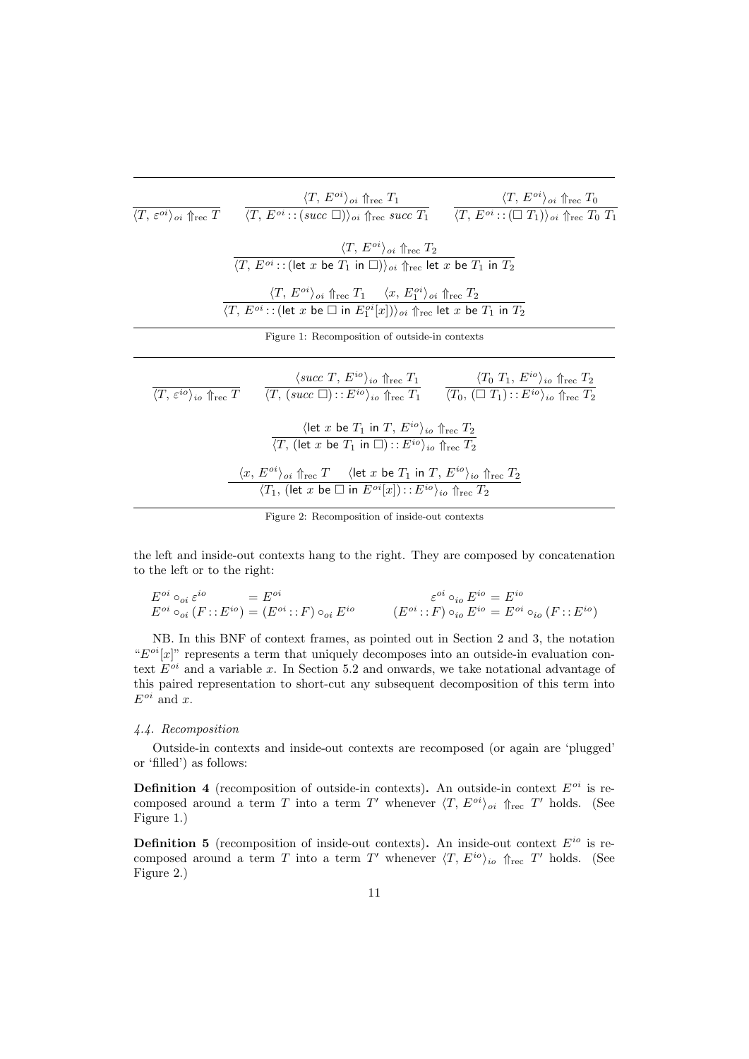| $\langle T, \, \varepsilon^{oi} \rangle_{oi} \Uparrow_{\text{rec}} T$ | $\frac{\langle T, E^{oi} \rangle_{oi} \Uparrow_{\text{rec}} T_1}{\langle T, E^{oi} : : (succ \ \Box) \rangle_{oi} \Uparrow_{\text{rec}} succ \ T_1} \qquad \frac{\langle T, E^{oi} \rangle_{oi} \Uparrow_{\text{rec}} T_0}{\langle T, E^{oi} : : (\Box T_1) \rangle_{oi} \Uparrow_{\text{rec}} T_0 \ T_1}$                                                                                                                             |  |
|-----------------------------------------------------------------------|----------------------------------------------------------------------------------------------------------------------------------------------------------------------------------------------------------------------------------------------------------------------------------------------------------------------------------------------------------------------------------------------------------------------------------------|--|
|                                                                       | $\langle T, E^{o} \rangle_{oi} \Uparrow_{\text{rec}} T_2$<br>$\langle T, E^{oi}$ :: (let x be $T_1$ in $\square$ )) <sub>oi</sub> $\Uparrow_{\text{rec}}$ let x be $T_1$ in $T_2$                                                                                                                                                                                                                                                      |  |
|                                                                       | $\langle T, E^{oi} \rangle_{oi} \Uparrow_{\text{rec}} T_1 \quad \langle x, E_1^{oi} \rangle_{oi} \Uparrow_{\text{rec}} T_2$<br>$\langle T, E^{oi}$ :: (let x be $\Box$ in $E_1^{oi}[x]$ )) <sub>oi</sub> $\Uparrow_{\text{rec}}$ let x be $T_1$ in $T_2$                                                                                                                                                                               |  |
|                                                                       | Figure 1: Recomposition of outside-in contexts                                                                                                                                                                                                                                                                                                                                                                                         |  |
|                                                                       | $\frac{\langle succ T, E^{io} \rangle_{io} \Uparrow_{\text{rec}} T}{\langle T, \varepsilon^{io} \rangle_{io} \Uparrow_{\text{rec}} T}$ $\frac{\langle succ T, E^{io} \rangle_{io} \Uparrow_{\text{rec}} T_1}{\langle T, \varepsilon^{io} \rangle_{io} \Uparrow_{\text{rec}} T_2}$ $\frac{\langle T_0 \ T_1, E^{io} \rangle_{io} \Uparrow_{\text{rec}} T_2}{\langle T_0, (\Box T_1) : : E^{io} \rangle_{io} \Uparrow_{\text{rec}} T_2}$ |  |
|                                                                       | (let x be $T_1$ in T, $E^{io}$ ) <sub>io</sub> $\Uparrow_{\text{rec}}$ $T_2$<br>$\langle T,$ (let x be $T_1$ in $\square$ ) :: $E^{io}$ $\rangle_{io}$ $\Uparrow_{\text{rec}}$ $T_2$                                                                                                                                                                                                                                                   |  |
|                                                                       | $\langle x, E^{oi} \rangle_{oi} \uparrow_{\text{rec}} T$ (let x be $T_1$ in T, $E^{io} \rangle_{io} \uparrow_{\text{rec}} T_2$<br>$\overline{\langle T_1, \, (\text{let } x \text{ be } \Box \text{ in } E^{oi}[x]]} :: E^{io} \rangle_{io} \Uparrow_{\text{rec}} T_2$                                                                                                                                                                 |  |

Figure 2: Recomposition of inside-out contexts

the left and inside-out contexts hang to the right. They are composed by concatenation to the left or to the right:

$$
E^{oi} \circ_{oi} \varepsilon^{io} = E^{oi}
$$
  
\n
$$
E^{oi} \circ_{oi} (F : E^{io}) = (E^{oi} : F) \circ_{oi} E^{io}
$$
  
\n
$$
(E^{oi} : F) \circ_{io} E^{io} = E^{oi} \circ_{io} (F : E^{io})
$$

NB. In this BNF of context frames, as pointed out in Section 2 and 3, the notation " $E^{oi}[x]$ " represents a term that uniquely decomposes into an outside-in evaluation context  $E^{oi}$  and a variable x. In Section 5.2 and onwards, we take notational advantage of this paired representation to short-cut any subsequent decomposition of this term into  $E^{oi}$  and x.

# 4.4. Recomposition

Outside-in contexts and inside-out contexts are recomposed (or again are 'plugged' or 'filled') as follows:

**Definition 4** (recomposition of outside-in contexts). An outside-in context  $E^{oi}$  is recomposed around a term T into a term T' whenever  $\langle T, E^{oi} \rangle_{oi}$   $\Uparrow_{\text{rec}} T'$  holds. (See Figure 1.)

**Definition 5** (recomposition of inside-out contexts). An inside-out context  $E^{io}$  is recomposed around a term T into a term T' whenever  $\langle T, E^{io} \rangle_{io}$   $\Uparrow_{\text{rec}} T'$  holds. (See Figure 2.)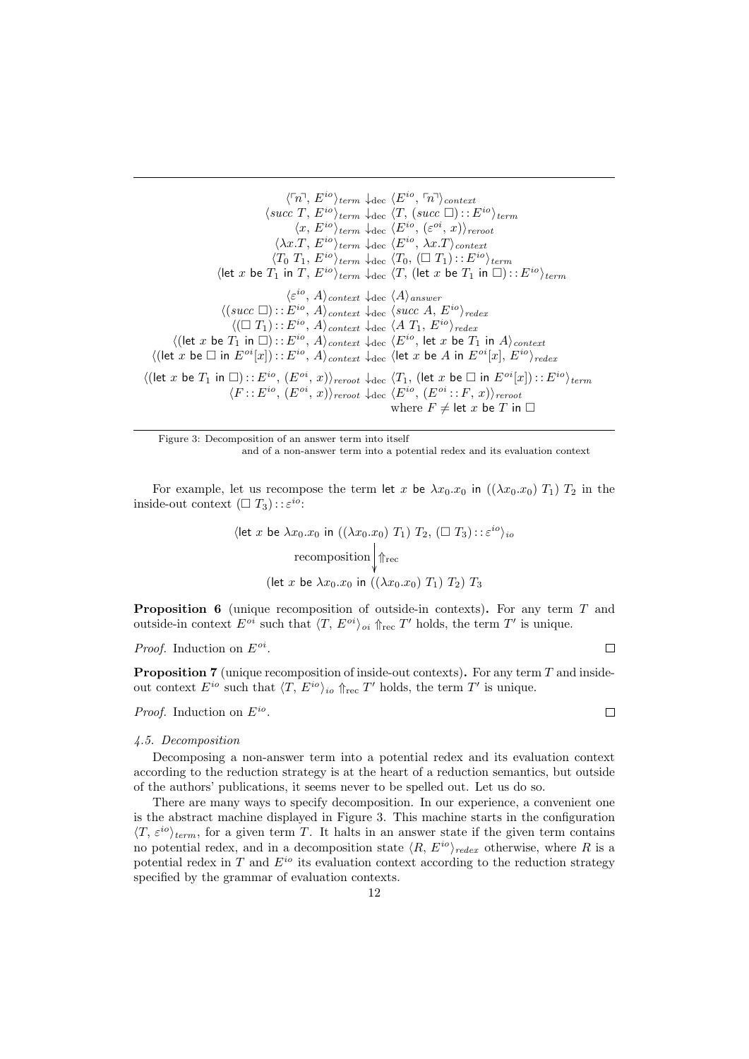$\langle \ulcorner n \urcorner, E^{io} \rangle_{term} \downarrow_{dec} \langle E^{io}, \ulcorner n \urcorner \rangle_{context}$  $\langle succ T, E^{io}\rangle_{term} \downarrow_{dec} \langle T, (succ \Box) :: E^{io}\rangle_{term}$  $\langle x, E^{io} \rangle_{term} \downarrow_{dec} \langle E^{io}, (\varepsilon^{oi}, x) \rangle_{reroot}$  $\langle \lambda x.T, E^{io} \rangle_{term} \downarrow_{dec} \langle E^{io}, \lambda x.T \rangle_{context}$  $\langle T_0 \ T_1, E^{io} \rangle_{term} \downarrow_{dec} \langle T_0, (\Box T_1) : : E^{io} \rangle_{term}$ (let x be  $T_1$  in T,  $E^{io}\rangle_{term} \downarrow_{dec} \langle T$ , (let x be  $T_1$  in  $\square$ ) : :  $E^{io}\rangle_{term}$  $\langle \varepsilon^{io}, A \rangle_{context} \downarrow$ dec  $\langle A \rangle_{answer}$  $\langle (succ \Box) : : E^{io}, A \rangle_{context} \downarrow_{dec} \langle succ A, E^{io} \rangle_{redex}$  $\langle (\square T_1) : : E^{io}, A \rangle_{context} \downarrow_{dec} \langle A T_1, E^{io} \rangle_{redex}$  $\langle$ (let x be  $T_1$  in  $\square$ )::  $E^{io}$ ,  $A\rangle_{context}$   $\downarrow$  dec  $\langle E^{io},$  let x be  $T_1$  in  $A\rangle_{context}$  $\langle$ (let x be  $\square$  in  $E^{oi}[x]$ ) : :  $E^{io}$ ,  $A\rangle_{context}$   $\downarrow$  dec  $\langle$  let x be  $A$  in  $E^{oi}[x]$ ,  $E^{io}\rangle_{redex}$  $\langle$ (let x be  $T_1$  in  $\square$ )::  $E^{io}$ ,  $(E^{oi}, x)\rangle_{revot}$   $\downarrow$  dec  $\langle T_1$ , (let x be  $\square$  in  $E^{oi}[x]$ )::  $E^{io}\rangle_{term}$  $\langle F : : E^{io}, (E^{oi}, x) \rangle_{revot} \downarrow_{dec} \langle E^{io}, (E^{oi} : : F, x) \rangle_{revot}$ where  $F \neq$  let x be T in  $\Box$ 

Figure 3: Decomposition of an answer term into itself and of a non-answer term into a potential redex and its evaluation context

For example, let us recompose the term let x be  $\lambda x_0 \cdot x_0$  in  $((\lambda x_0, x_0) T_1) T_2$  in the inside-out context  $(\Box T_3) : : \varepsilon^{io}:$ 

$$
\langle \text{let } x \text{ be } \lambda x_0.x_0 \text{ in } ((\lambda x_0.x_0) T_1) T_2, (\square T_3) :: \varepsilon^{io} \rangle_{io}
$$
\n
$$
\text{recomposition} \downarrow \Uparrow_{\text{rec}}
$$
\n
$$
(\text{let } x \text{ be } \lambda x_0.x_0 \text{ in } ((\lambda x_0.x_0) T_1) T_2) T_3
$$

Proposition 6 (unique recomposition of outside-in contexts). For any term T and outside-in context  $E^{oi}$  such that  $\langle T, E^{oi} \rangle_{oi} \Uparrow_{\text{rec}} T'$  holds, the term  $T'$  is unique.

*Proof.* Induction on  $E^{oi}$ .

Proposition 7 (unique recomposition of inside-out contexts). For any term T and insideout context  $E^{io}$  such that  $\langle T, E^{io} \rangle_{io} \Uparrow_{\text{rec}} T'$  holds, the term  $T'$  is unique.

*Proof.* Induction on  $E^{io}$ .

#### 4.5. Decomposition

Decomposing a non-answer term into a potential redex and its evaluation context according to the reduction strategy is at the heart of a reduction semantics, but outside of the authors' publications, it seems never to be spelled out. Let us do so.

There are many ways to specify decomposition. In our experience, a convenient one is the abstract machine displayed in Figure 3. This machine starts in the configuration  $\langle T, \varepsilon^{io} \rangle_{term}$ , for a given term T. It halts in an answer state if the given term contains no potential redex, and in a decomposition state  $\langle R, E^{io} \rangle_{redex}$  otherwise, where R is a potential redex in  $T$  and  $E^{io}$  its evaluation context according to the reduction strategy specified by the grammar of evaluation contexts.

 $\Box$ 

 $\Box$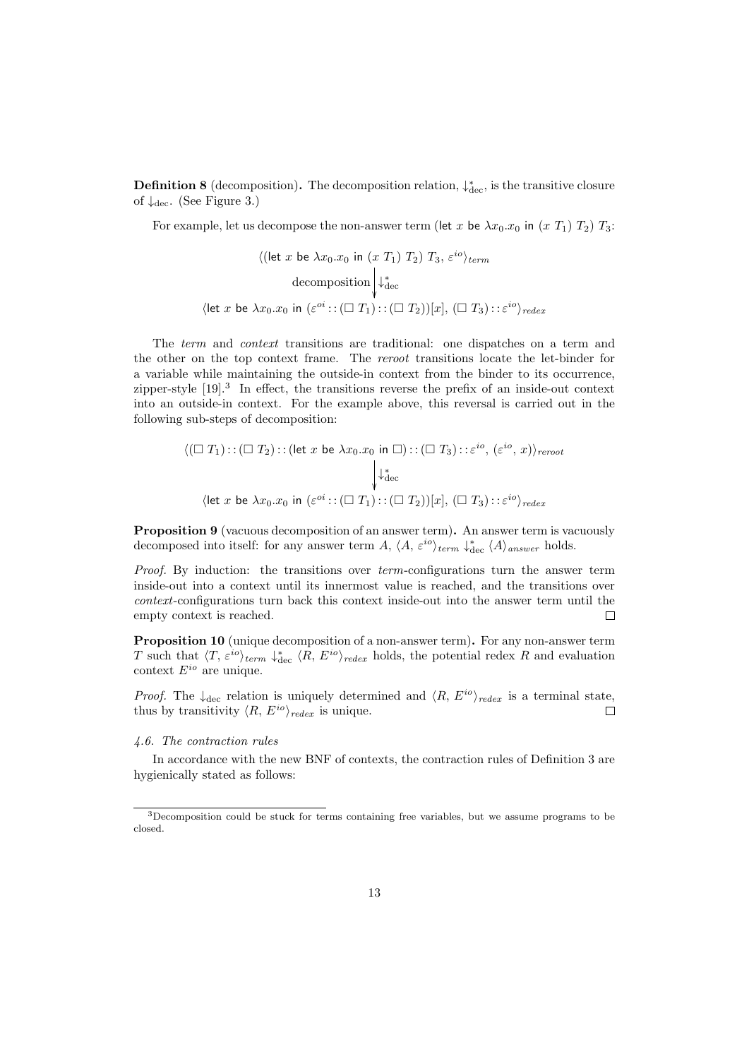**Definition 8** (decomposition). The decomposition relation,  $\downarrow_{\text{dec}}^*$ , is the transitive closure of  $\downarrow$ <sub>dec</sub>. (See Figure 3.)

For example, let us decompose the non-answer term (let x be  $\lambda x_0.x_0$  in  $(x T_1) T_2$ )  $T_3$ :

$$
\langle (\text{let } x \text{ be } \lambda x_0.x_0 \text{ in } (x T_1) T_2) T_3, \varepsilon^{io} \rangle_{term}
$$
  
decomposition  $\Big| \downarrow^*_{\text{dec}}$   

$$
\langle \text{let } x \text{ be } \lambda x_0.x_0 \text{ in } (\varepsilon^{oi} : (\square T_1) : (\square T_2))[x], (\square T_3) : \varepsilon^{io} \rangle_{redex}
$$

The term and context transitions are traditional: one dispatches on a term and the other on the top context frame. The reroot transitions locate the let-binder for a variable while maintaining the outside-in context from the binder to its occurrence, zipper-style [19].<sup>3</sup> In effect, the transitions reverse the prefix of an inside-out context into an outside-in context. For the example above, this reversal is carried out in the following sub-steps of decomposition:

$$
\langle (\square T_1) : : (\square T_2) : : (\text{let } x \text{ be } \lambda x_0.x_0 \text{ in } \square) : : (\square T_3) : : \varepsilon^{io}, (\varepsilon^{io}, x) \rangle_{revot}
$$
\n
$$
\downarrow^*_{\text{dec}}
$$
\n
$$
\langle \text{let } x \text{ be } \lambda x_0.x_0 \text{ in } (\varepsilon^{oi} : : (\square T_1) : : (\square T_2))[x], (\square T_3) : : \varepsilon^{io} \rangle_{redex}
$$

Proposition 9 (vacuous decomposition of an answer term). An answer term is vacuously decomposed into itself: for any answer term A,  $\langle A, \varepsilon^{io} \rangle_{term} \downarrow_{dec}^* \langle A \rangle_{answer}$  holds.

Proof. By induction: the transitions over term-configurations turn the answer term inside-out into a context until its innermost value is reached, and the transitions over context-configurations turn back this context inside-out into the answer term until the empty context is reached.  $\Box$ 

Proposition 10 (unique decomposition of a non-answer term). For any non-answer term T such that  $\langle T, \varepsilon^{io} \rangle_{term} \downarrow_{dec}^* \langle R, E^{io} \rangle_{redex}$  holds, the potential redex R and evaluation context  $E^{io}$  are unique.

*Proof.* The  $\downarrow_{\text{dec}}$  relation is uniquely determined and  $\langle R, E^{io} \rangle_{redex}$  is a terminal state, thus by transitivity  $\langle R, E^{io} \rangle_{redex}$  is unique.  $\Box$ 

#### 4.6. The contraction rules

In accordance with the new BNF of contexts, the contraction rules of Definition 3 are hygienically stated as follows:

<sup>3</sup>Decomposition could be stuck for terms containing free variables, but we assume programs to be closed.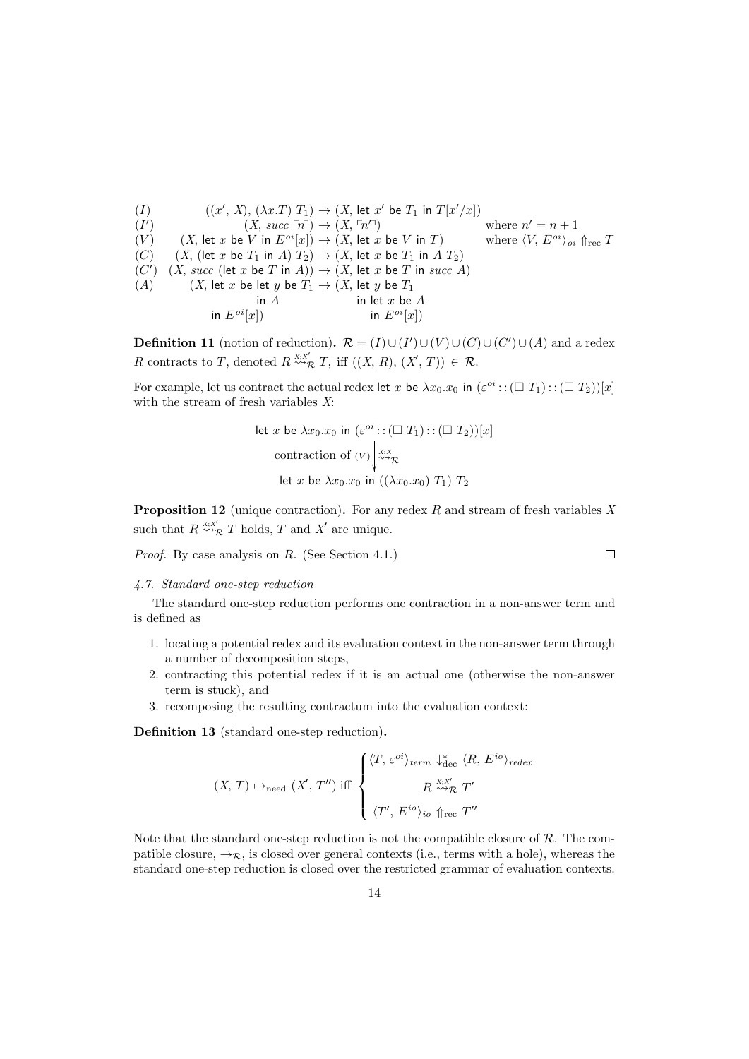$$
(I) \qquad ((x', X), (\lambda x.T) T_1) \rightarrow (X, let x' be T_1 in T[x'/x])
$$
\n
$$
(I') \qquad (X, succ \n\overline{r_1}) \rightarrow (X, \n\overline{r_1}')
$$
\nwhere  $n' = n + 1$   
\n
$$
(V) \qquad (X, let x be V in E^{oi}[x]) \rightarrow (X, let x be V in T)
$$
\nwhere  $\langle V, E^{oi} \rangle_{oi}$   $\Upsilon_{rec}$   
\n
$$
(C) \qquad (X, (let x be T_1 in A) T_2) \rightarrow (X, let x be T_1 in A T_2)
$$
\n
$$
(C') \qquad (X, succ (let x be T in A)) \rightarrow (X, let x be T in succ A)
$$
\n
$$
(A) \qquad (X, let x be let y be T_1 \rightarrow (X, let y be T_1 \n\overline{r_1}) \n\overline{r_2} \qquad \overline{r_1} \qquad \overline{r_2} \qquad \overline{r_2} \qquad \overline{r_2} \qquad \overline{r_1} \qquad \overline{r_2} \qquad \overline{r_2} \qquad \overline{r_2} \qquad \overline{r_2} \qquad \overline{r_2} \qquad \overline{r_2} \qquad \overline{r_2} \qquad \overline{r_2} \qquad \overline{r_2} \qquad \overline{r_2} \qquad \overline{r_2} \qquad \overline{r_2} \qquad \overline{r_2} \qquad \overline{r_2} \qquad \overline{r_2} \qquad \overline{r_2} \qquad \overline{r_2} \qquad \overline{r_2} \qquad \overline{r_2} \qquad \overline{r_2} \qquad \overline{r_2} \qquad \overline{r_2} \qquad \overline{r_2} \qquad \overline{r_2} \qquad \overline{r_2} \qquad \overline{r_2} \qquad \overline{r_2} \qquad \overline{r_2} \qquad \overline{r_2} \qquad \overline{r_2} \qquad \overline{r_2} \qquad \overline{r_2} \qquad \overline{r_2} \qquad \overline{r_2} \qquad \overline{r_2} \qquad \overline
$$

**Definition 11** (notion of reduction).  $\mathcal{R} = (I) \cup (I') \cup (V) \cup (C) \cup (C') \cup (A)$  and a redex R contracts to T, denoted  $R \stackrel{X;X'}{\leadsto} T$ , iff  $((X, R), (X', T)) \in \mathcal{R}$ .

For example, let us contract the actual redex let x be  $\lambda x_0.x_0$  in  $(\varepsilon^{oi}:(\Box T_1):(\Box T_2))[x]$ with the stream of fresh variables X:

let 
$$
x
$$
 be  $\lambda x_0.x_0$  in  $(\varepsilon^{oi} : : (\square T_1) : : (\square T_2))[x]$   
contraction of  $(V) \downarrow_{\sim \gamma}^{X;X}$   
let  $x$  be  $\lambda x_0.x_0$  in  $((\lambda x_0.x_0) T_1) T_2$ 

**Proposition 12** (unique contraction). For any redex  $R$  and stream of fresh variables  $X$ such that  $R \stackrel{X;X'}{\rightsquigarrow} T$  holds, T and X' are unique.

 $\Box$ 

Proof. By case analysis on R. (See Section 4.1.)

#### 4.7. Standard one-step reduction

The standard one-step reduction performs one contraction in a non-answer term and is defined as

- 1. locating a potential redex and its evaluation context in the non-answer term through a number of decomposition steps,
- 2. contracting this potential redex if it is an actual one (otherwise the non-answer term is stuck), and
- 3. recomposing the resulting contractum into the evaluation context:

Definition 13 (standard one-step reduction).

$$
(X, T) \mapsto_{\text{need}} (X', T'') \text{ iff } \begin{cases} \langle T, \varepsilon^{oi} \rangle_{term} \downarrow_{\text{dec}}^* \langle R, E^{io} \rangle_{redex} \\ R \stackrel{X;X'}{\leadsto} R' \\ \langle T', E^{io} \rangle_{io} \uparrow_{\text{rec}} T'' \end{cases}
$$

Note that the standard one-step reduction is not the compatible closure of  $\mathcal{R}$ . The compatible closure,  $\rightarrow \mathcal{R}$ , is closed over general contexts (i.e., terms with a hole), whereas the standard one-step reduction is closed over the restricted grammar of evaluation contexts.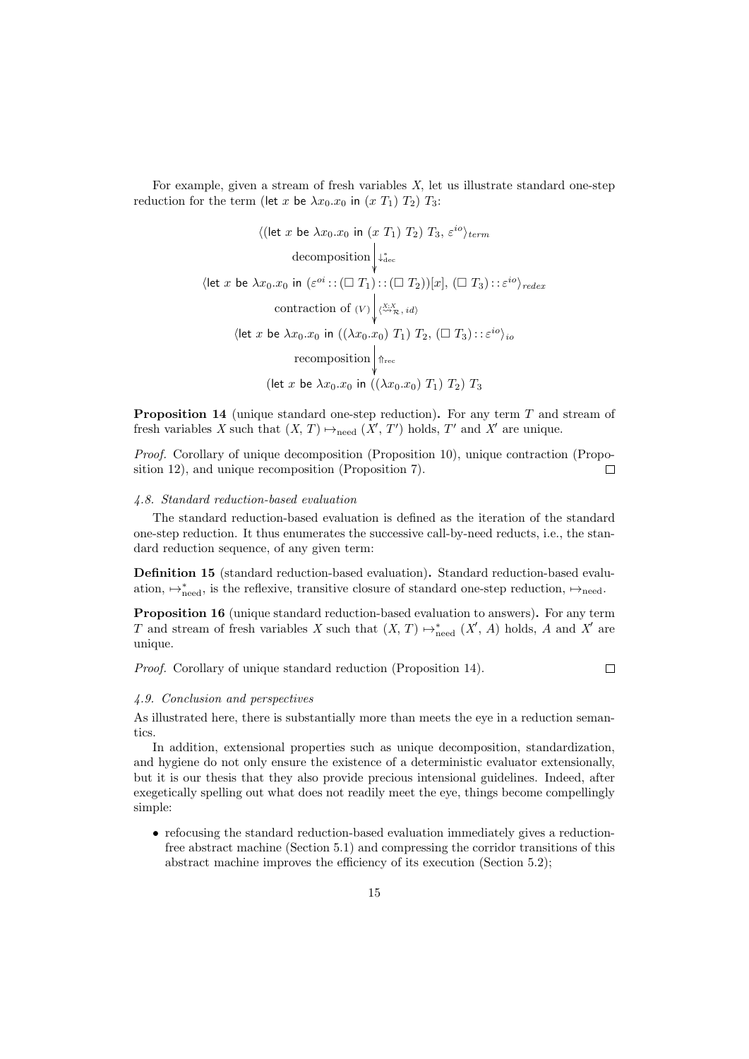For example, given a stream of fresh variables X, let us illustrate standard one-step reduction for the term (let x be  $\lambda x_0.x_0$  in  $(x T_1) T_2$ )  $T_3$ :

$$
\langle (\text{let } x \text{ be } \lambda x_0.x_0 \text{ in } (x T_1) T_2) T_3, \varepsilon^{io} \rangle_{term}
$$
\n
$$
\text{decomposition} \downarrow_{\text{dec}}^*
$$
\n
$$
\langle \text{let } x \text{ be } \lambda x_0.x_0 \text{ in } (\varepsilon^{oi} :: (\square T_1) :: (\square T_2))[x], (\square T_3) :: \varepsilon^{io} \rangle_{redex}
$$
\n
$$
\text{contraction of } (V) \downarrow_{\text{cav}, x_i d}^{\text{cav}, x_i d}
$$
\n
$$
\langle \text{let } x \text{ be } \lambda x_0.x_0 \text{ in } ((\lambda x_0.x_0) T_1) T_2, (\square T_3) :: \varepsilon^{io} \rangle_{io}
$$
\n
$$
\text{recomposition} \downarrow_{\text{free}}
$$
\n
$$
(\text{let } x \text{ be } \lambda x_0.x_0 \text{ in } ((\lambda x_0.x_0) T_1) T_2) T_3
$$

Proposition 14 (unique standard one-step reduction). For any term T and stream of fresh variables X such that  $(X, T) \mapsto_{\text{need}} (X', T')$  holds, T' and X' are unique.

Proof. Corollary of unique decomposition (Proposition 10), unique contraction (Proposition 12), and unique recomposition (Proposition 7).  $\Box$ 

#### 4.8. Standard reduction-based evaluation

The standard reduction-based evaluation is defined as the iteration of the standard one-step reduction. It thus enumerates the successive call-by-need reducts, i.e., the standard reduction sequence, of any given term:

Definition 15 (standard reduction-based evaluation). Standard reduction-based evaluation,  $\mapsto^*_{\text{need}}$ , is the reflexive, transitive closure of standard one-step reduction,  $\mapsto_{\text{need}}$ .

Proposition 16 (unique standard reduction-based evaluation to answers). For any term T and stream of fresh variables X such that  $(X, T) \mapsto_{\text{need}}^* (X', A)$  holds, A and X' are unique.

Proof. Corollary of unique standard reduction (Proposition 14).

 $\Box$ 

#### 4.9. Conclusion and perspectives

As illustrated here, there is substantially more than meets the eye in a reduction semantics.

In addition, extensional properties such as unique decomposition, standardization, and hygiene do not only ensure the existence of a deterministic evaluator extensionally, but it is our thesis that they also provide precious intensional guidelines. Indeed, after exegetically spelling out what does not readily meet the eye, things become compellingly simple:

• refocusing the standard reduction-based evaluation immediately gives a reductionfree abstract machine (Section 5.1) and compressing the corridor transitions of this abstract machine improves the efficiency of its execution (Section 5.2);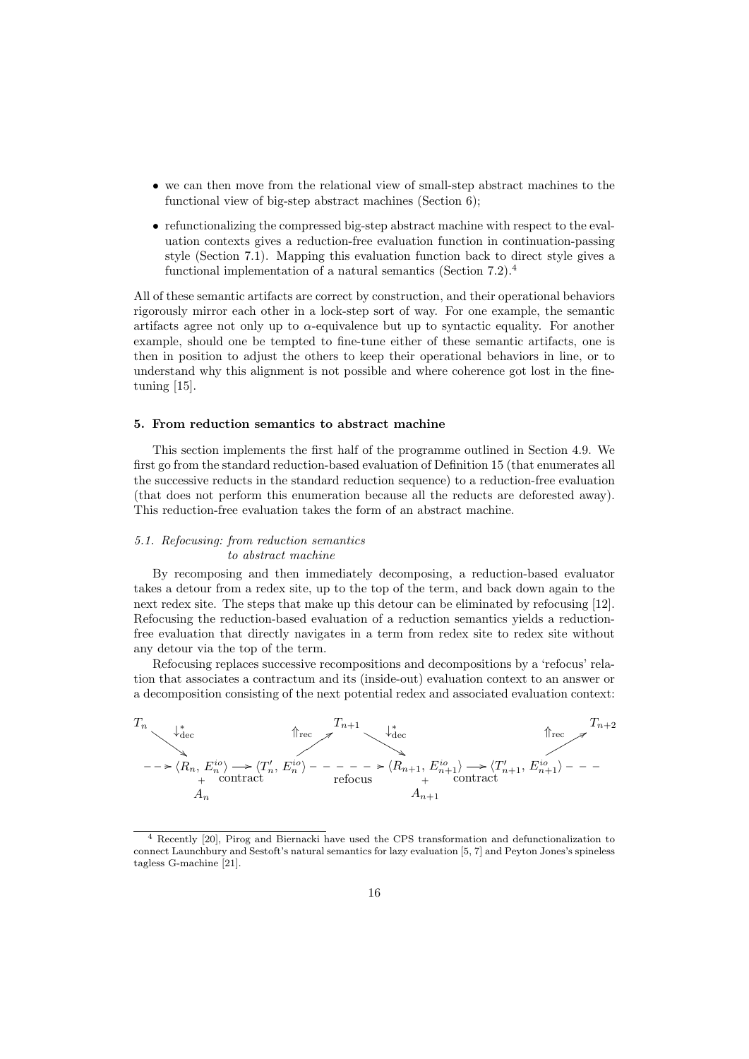- we can then move from the relational view of small-step abstract machines to the functional view of big-step abstract machines (Section 6);
- refunctionalizing the compressed big-step abstract machine with respect to the evaluation contexts gives a reduction-free evaluation function in continuation-passing style (Section 7.1). Mapping this evaluation function back to direct style gives a functional implementation of a natural semantics (Section 7.2).<sup>4</sup>

All of these semantic artifacts are correct by construction, and their operational behaviors rigorously mirror each other in a lock-step sort of way. For one example, the semantic artifacts agree not only up to  $\alpha$ -equivalence but up to syntactic equality. For another example, should one be tempted to fine-tune either of these semantic artifacts, one is then in position to adjust the others to keep their operational behaviors in line, or to understand why this alignment is not possible and where coherence got lost in the finetuning [15].

## 5. From reduction semantics to abstract machine

This section implements the first half of the programme outlined in Section 4.9. We first go from the standard reduction-based evaluation of Definition 15 (that enumerates all the successive reducts in the standard reduction sequence) to a reduction-free evaluation (that does not perform this enumeration because all the reducts are deforested away). This reduction-free evaluation takes the form of an abstract machine.

# 5.1. Refocusing: from reduction semantics to abstract machine

By recomposing and then immediately decomposing, a reduction-based evaluator takes a detour from a redex site, up to the top of the term, and back down again to the next redex site. The steps that make up this detour can be eliminated by refocusing [12]. Refocusing the reduction-based evaluation of a reduction semantics yields a reductionfree evaluation that directly navigates in a term from redex site to redex site without any detour via the top of the term.

Refocusing replaces successive recompositions and decompositions by a 'refocus' relation that associates a contractum and its (inside-out) evaluation context to an answer or a decomposition consisting of the next potential redex and associated evaluation context:

$$
T_n \longrightarrow \begin{cases} \n\downarrow^*_{\text{dec}} & \text{if } \text{rec} \n\end{cases}
$$
\n
$$
T_{n+1} \longrightarrow \begin{cases} \nT_{n+1} & \downarrow^*_{\text{dec}} \\ \n\downarrow^*_{\text{dec}} & \text{if } \text{rec} \n\end{cases}
$$
\n
$$
T_{n+2}
$$
\n
$$
T_{n+3}
$$
\n
$$
T_{n+4}
$$
\n
$$
T_{n+2}
$$
\n
$$
T_{n+1} \longrightarrow \begin{cases} \n\downarrow^*_{\text{dec}} & \text{if } \text{rec} \n\end{cases}
$$
\n
$$
T_{n+2}
$$
\n
$$
T_{n+3}
$$
\n
$$
T_{n+2}
$$
\n
$$
T_{n+4}
$$
\n
$$
T_{n+5}
$$
\n
$$
T_{n+6}
$$
\n
$$
T_{n+7}
$$
\n
$$
T_{n+8}
$$
\n
$$
T_{n+9}
$$
\n
$$
T_{n+1} \longrightarrow \begin{cases} \nT_{n+1} & \text{if } \text{rec} \n\end{cases}
$$
\n
$$
T_{n+2}
$$
\n
$$
T_{n+3}
$$
\n
$$
T_{n+2}
$$
\n
$$
T_{n+4}
$$
\n
$$
T_{n+5}
$$
\n
$$
T_{n+6}
$$
\n
$$
T_{n+7}
$$
\n
$$
T_{n+8}
$$
\n
$$
T_{n+9}
$$
\n
$$
T_{n+1}
$$
\n
$$
T_{n+2}
$$
\n
$$
T_{n+3}
$$
\n
$$
T_{n+2}
$$

<sup>4</sup> Recently [20], Pirog and Biernacki have used the CPS transformation and defunctionalization to connect Launchbury and Sestoft's natural semantics for lazy evaluation [5, 7] and Peyton Jones's spineless tagless G-machine [21].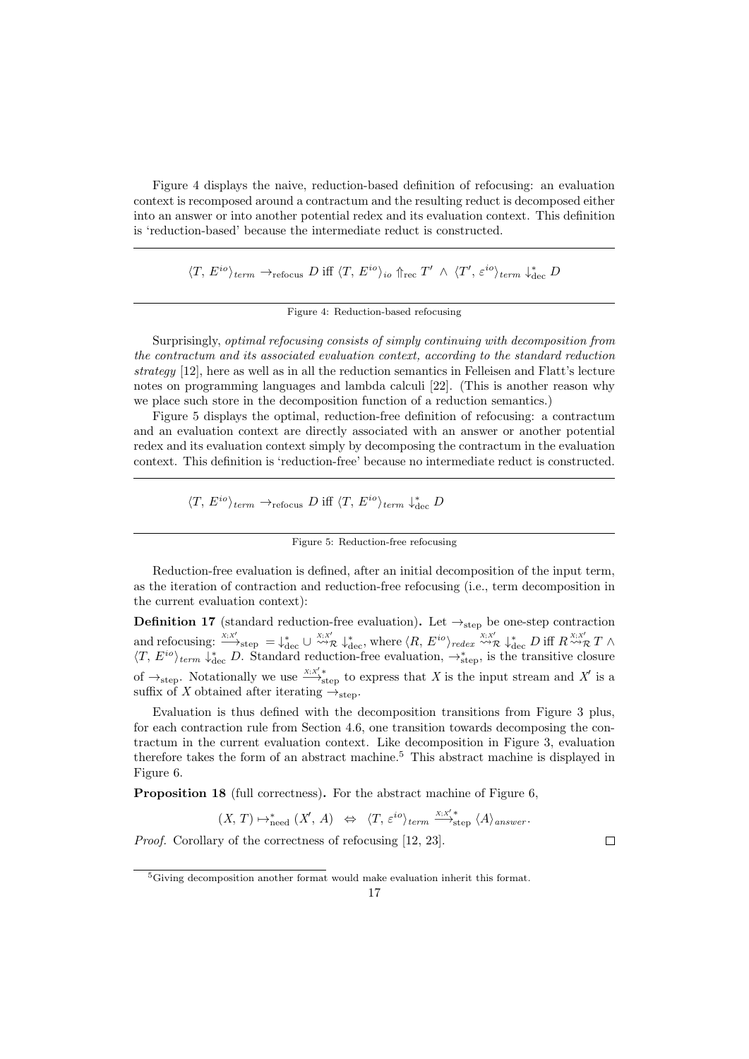Figure 4 displays the naive, reduction-based definition of refocusing: an evaluation context is recomposed around a contractum and the resulting reduct is decomposed either into an answer or into another potential redex and its evaluation context. This definition is 'reduction-based' because the intermediate reduct is constructed.

 $\langle T, E^{io} \rangle_{term} \rightarrow_{refocus} D \text{ iff } \langle T, E^{io} \rangle_{io} \Uparrow_{rec} T' \wedge \langle T', \varepsilon^{io} \rangle_{term} \downarrow_{dec}^* D$ 

Figure 4: Reduction-based refocusing

Surprisingly, optimal refocusing consists of simply continuing with decomposition from the contractum and its associated evaluation context, according to the standard reduction strategy [12], here as well as in all the reduction semantics in Felleisen and Flatt's lecture notes on programming languages and lambda calculi [22]. (This is another reason why we place such store in the decomposition function of a reduction semantics.)

Figure 5 displays the optimal, reduction-free definition of refocusing: a contractum and an evaluation context are directly associated with an answer or another potential redex and its evaluation context simply by decomposing the contractum in the evaluation context. This definition is 'reduction-free' because no intermediate reduct is constructed.

 $\langle T, E^{io} \rangle_{term} \rightarrow_{refocus} D \text{ iff } \langle T, E^{io} \rangle_{term} \downarrow_{dec}^* D$ 

Reduction-free evaluation is defined, after an initial decomposition of the input term, as the iteration of contraction and reduction-free refocusing (i.e., term decomposition in the current evaluation context):

**Definition 17** (standard reduction-free evaluation). Let  $\rightarrow$ <sub>step</sub> be one-step contraction and refocusing:  $\lim_{X:X'\to\text{step}} = \lim_{X\to\infty} \cup \lim_{X\to\infty} \lim_{X\to\text{degree}} \lim_{X\to\text{degree}} \langle R, E^{io} \rangle_{redex} \stackrel{X;X'}{\leadsto} R \lim_{X\to\text{degree}} P$  iff  $R \stackrel{X;X'}{\leadsto} R$   $\uparrow$  $\langle T, E^{io} \rangle_{term} \downarrow_{\text{dec}}^* D$ . Standard reduction-free evaluation,  $\rightarrow_{\text{step}}^*$ , is the transitive closure of  $\rightarrow$ <sub>step</sub>. Notationally we use  $\frac{X;X'_{\bullet}}{\longrightarrow_{\text{step}}}$  to express that X is the input stream and X' is a suffix of X obtained after iterating  $\rightarrow$ <sub>step</sub>.

Evaluation is thus defined with the decomposition transitions from Figure 3 plus, for each contraction rule from Section 4.6, one transition towards decomposing the contractum in the current evaluation context. Like decomposition in Figure 3, evaluation therefore takes the form of an abstract machine.<sup>5</sup> This abstract machine is displayed in Figure 6.

Proposition 18 (full correctness). For the abstract machine of Figure 6,

$$
(X, T) \mapsto_{\text{need}}^* (X', A) \Leftrightarrow \langle T, \varepsilon^{io} \rangle_{term} \stackrel{X; X'*}{\longrightarrow}_{\text{step}} \langle A \rangle_{answer}.
$$

Proof. Corollary of the correctness of refocusing [12, 23].

Figure 5: Reduction-free refocusing

 $\Box$ 

<sup>5</sup>Giving decomposition another format would make evaluation inherit this format.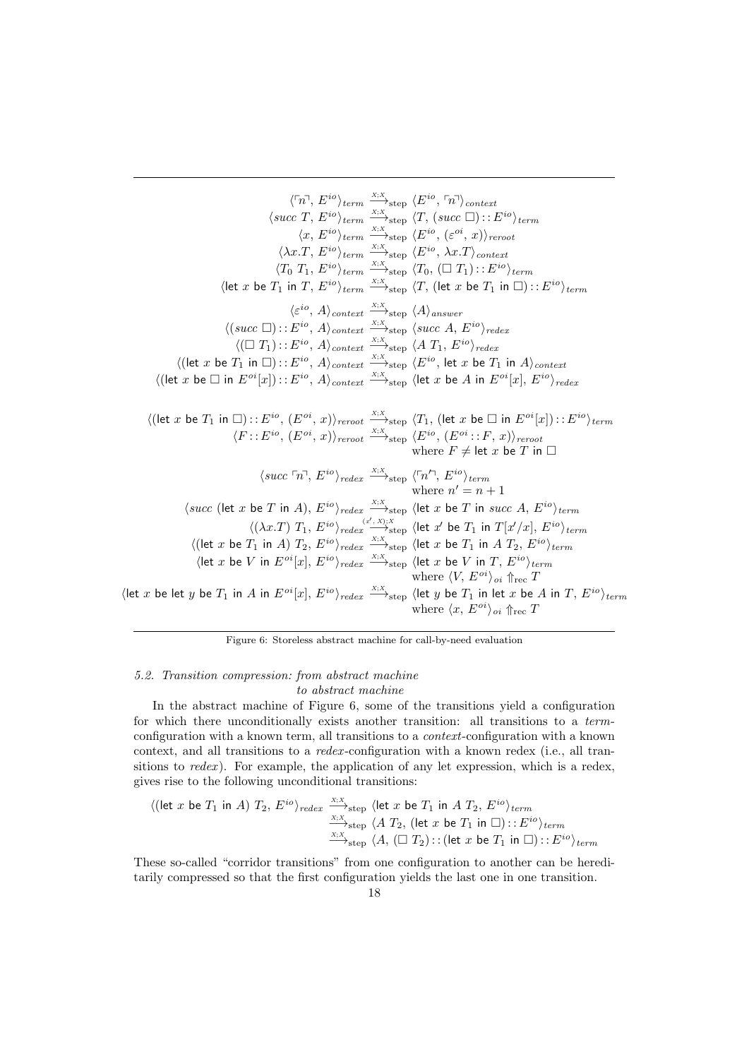$\langle \ulcorner n \urcorner, E^{io} \rangle_{term} \xrightarrow{x;X}$ <sub>step</sub>  $\langle E^{io}, \ulcorner n \urcorner \rangle_{context}$  $\langle succ T, E^{io}\rangle_{term} \xrightarrow{x;X}_{step} \langle T, (succ \Box) : : E^{io}\rangle_{term}$  $\langle x, E^{io} \rangle_{term} \stackrel{x,x}{\longrightarrow}_{step} \langle E^{io}, (\varepsilon^{oi}, x) \rangle_{zero}$  $\langle \lambda x.T, E^{io} \rangle_{term} \stackrel{x,x}{\longrightarrow}_{step} \langle E^{io}, \lambda x.T \rangle_{context}$  $\langle T_0 \ T_1, E^{io} \rangle_{term} \stackrel{X;X}{\longrightarrow}_{step} \langle T_0, (\Box T_1) : : E^{io} \rangle_{term}$  $\langle$ let x be  $T_1$  in  $T, E^{io}\rangle_{term} \stackrel{X;X}{\longrightarrow}_{step} \langle T,$  (let x be  $T_1$  in  $\square$ )::  $E^{io}\rangle_{term}$  $\langle \varepsilon^{io}, A \rangle_{context} \stackrel{x,x}{\longrightarrow}_{step} \langle A \rangle_{answer}$  $\langle (succ \Box) : E^{io}, A \rangle_{context} \stackrel{x; x}{\longrightarrow}_{step} \langle succ A, E^{io} \rangle_{redex}$  $\langle (\Box T_1) : E^{io}, A \rangle_{context} \stackrel{x_i x}{\longrightarrow}_{step} \langle A T_1, E^{io} \rangle_{redex}$  $\langle$ (let x be  $T_1$  in  $\square$ )::  $E^{io}$ ,  $A\rangle_{context}$   $\xrightarrow{X;X}_{step}$   $\langle E^{io}$ , let x be  $T_1$  in  $A\rangle_{context}$  $\langle$ (let x be  $\Box$  in  $E^{oi}[x]$ ):: $E^{io}$ ,  $A\rangle_{context}$   $\stackrel{X;X}{\longrightarrow}_{step}$   $\langle$  let x be  $A$  in  $E^{oi}[x]$ ,  $E^{io}\rangle_{redex}$  $\langle$ (let x be  $T_1$  in  $\square$ )::  $E^{io}$ ,  $(E^{oi}, x)\rangle_{revoot}$   $\xrightarrow{x,x}$ <sub>step</sub>  $\langle T_1$ , (let x be  $\square$  in  $E^{oi}[x]$ )::  $E^{io}\rangle_{term}$  $\langle F : : E^{io}, (E^{oi}, x) \rangle_{revoot} \stackrel{X;X}{\longrightarrow}_{step} \langle E^{io}, (E^{oi} : : F, x) \rangle_{revoot}$ where  $F \neq$  let  $x$  be  $T$  in  $\Box$  $\langle succ \ulcorner n \urcorner, E^{io} \rangle_{redex} \xrightarrow{x,x}_{step} \langle \ulcorner n' \urcorner, E^{io} \rangle_{term}$ where  $n' = n + 1$  $\langle succ$  (let x be T in A),  $E^{io}\rangle_{redex} \stackrel{X;X}{\longrightarrow}_{step}$   $\langle$  let x be T in succ A,  $E^{io}\rangle_{term}$  $\langle (\lambda x. T) T_1, E^{io} \rangle_{redex} \stackrel{(x', X); X}{\longrightarrow}_{step} \langle$ let x' be  $T_1$  in  $T[x'/x], E^{io} \rangle_{term}$  $\langle$ (let x be  $T_1$  in A)  $T_2$ ,  $E^{io}\rangle_{redex} \stackrel{X;X}{\longrightarrow}_{\text{step}}$   $\langle$ let x be  $T_1$  in A  $T_2$ ,  $E^{io}\rangle_{term}$  $\langle$ let x be V in  $E^{oi}[x], E^{io} \rangle_{redex} \stackrel{X;X}{\longrightarrow}_{step} \langle$ let x be V in T,  $E^{io} \rangle_{term}$ where  $\langle V, E^{oi} \rangle_{oi} \Uparrow_{\text{rec}} T$  $\det x$  be let y be  $T_1$  in A in  $E^{oi}[x]$ ,  $E^{io}\rangle_{redex}$   $\xrightarrow{X;X}_{step}$   $\det y$  be  $T_1$  in let x be A in T,  $E^{io}\rangle_{term}$ where  $\langle x, E^{oi} \rangle_{oi} \Uparrow_{\text{rec}} T$ 

Figure 6: Storeless abstract machine for call-by-need evaluation

## 5.2. Transition compression: from abstract machine to abstract machine

In the abstract machine of Figure 6, some of the transitions yield a configuration for which there unconditionally exists another transition: all transitions to a termconfiguration with a known term, all transitions to a context-configuration with a known context, and all transitions to a redex -configuration with a known redex (i.e., all transitions to  $redex$ ). For example, the application of any let expression, which is a redex, gives rise to the following unconditional transitions:

$$
\langle (\text{let } x \text{ be } T_1 \text{ in } A) T_2, E^{io} \rangle_{redex} \xrightarrow{\begin{subarray}{c} X;X \\ \hline \text{X},X \\ \hline \text{X},X \end{subarray}} \langle \text{let } x \text{ be } T_1 \text{ in } A T_2, E^{io} \rangle_{term} \xrightarrow{\begin{subarray}{c} X;X \\ \hline \text{X},X \end{subarray}} \langle A T_2, (\text{let } x \text{ be } T_1 \text{ in } \Box) : : E^{io} \rangle_{term}
$$
\n
$$
\xrightarrow{\begin{subarray}{c} X;X \\ \hline \text{X},X \end{subarray}} \langle A, (\Box T_2) : : (\text{let } x \text{ be } T_1 \text{ in } \Box) : : E^{io} \rangle_{term}
$$

These so-called "corridor transitions" from one configuration to another can be hereditarily compressed so that the first configuration yields the last one in one transition.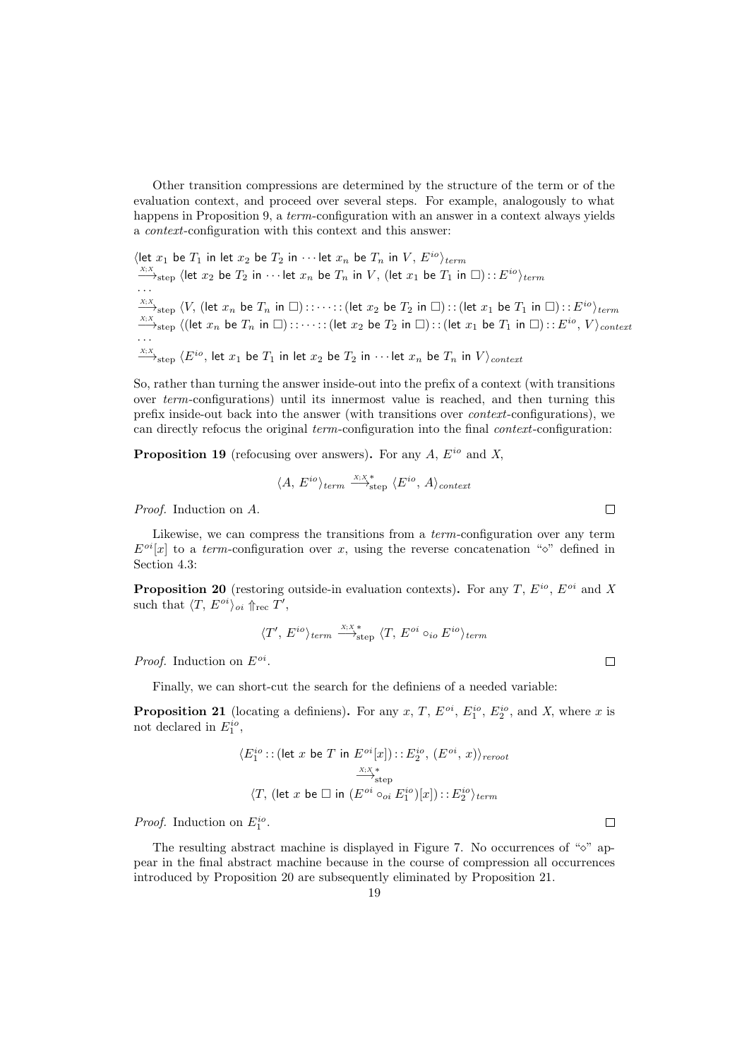Other transition compressions are determined by the structure of the term or of the evaluation context, and proceed over several steps. For example, analogously to what happens in Proposition 9, a *term*-configuration with an answer in a context always yields a context-configuration with this context and this answer:

$$
\langle \text{let } x_1 \text{ be } T_1 \text{ in let } x_2 \text{ be } T_2 \text{ in } \cdots \text{ let } x_n \text{ be } T_n \text{ in } V, E^{io} \rangle_{term}
$$
\n
$$
\xrightarrow{x, x}_{step} \langle \text{let } x_2 \text{ be } T_2 \text{ in } \cdots \text{ let } x_n \text{ be } T_n \text{ in } V, (\text{let } x_1 \text{ be } T_1 \text{ in } \Box) :: E^{io} \rangle_{term}
$$
\n
$$
\xrightarrow{x, x}_{step} \langle V, (\text{let } x_n \text{ be } T_n \text{ in } \Box) :: \cdots :: (\text{let } x_2 \text{ be } T_2 \text{ in } \Box) :: (\text{let } x_1 \text{ be } T_1 \text{ in } \Box) :: E^{io} \rangle_{term}
$$
\n
$$
\xrightarrow{x, x}_{step} \langle (\text{let } x_n \text{ be } T_n \text{ in } \Box) :: \cdots :: (\text{let } x_2 \text{ be } T_2 \text{ in } \Box) :: (\text{let } x_1 \text{ be } T_1 \text{ in } \Box) :: E^{io}, V \rangle_{context}
$$
\n
$$
\xrightarrow{x, x}_{step} \langle E^{io}, \text{ let } x_1 \text{ be } T_1 \text{ in } \text{let } x_2 \text{ be } T_2 \text{ in } \cdots \text{ let } x_n \text{ be } T_n \text{ in } V \rangle_{context}
$$

So, rather than turning the answer inside-out into the prefix of a context (with transitions over term-configurations) until its innermost value is reached, and then turning this prefix inside-out back into the answer (with transitions over context-configurations), we can directly refocus the original term-configuration into the final context-configuration:

**Proposition 19** (refocusing over answers). For any  $A$ ,  $E^{io}$  and  $X$ ,

$$
\langle A, E^{io} \rangle_{term} \stackrel{X;X^*}{\longrightarrow}_{step} \langle E^{io}, A \rangle_{context}
$$

Proof. Induction on A.

Likewise, we can compress the transitions from a *term*-configuration over any term  $E^{oi}[x]$  to a term-configuration over x, using the reverse concatenation " $\circ$ " defined in Section 4.3:

**Proposition 20** (restoring outside-in evaluation contexts). For any T,  $E^{io}$ ,  $E^{oi}$  and X such that  $\langle T, E^{oi} \rangle_{oi} \Uparrow_{\text{rec}} T'$ ,

$$
\langle T',\, E^{io} \rangle_{term} \stackrel{x; x^*}{\longrightarrow}_{\text{step}} \langle T,\, E^{oi} \circ_{io} E^{io} \rangle_{term}
$$

*Proof.* Induction on  $E^{oi}$ .

Finally, we can short-cut the search for the definiens of a needed variable:

**Proposition 21** (locating a definiens). For any x, T,  $E^{oi}$ ,  $E_1^{io}$ ,  $E_2^{io}$ , and X, where x is not declared in  $E_1^{io}$ ,

$$
\langle E_1^{io} : : (\text{let } x \text{ be } T \text{ in } E^{oi}[x]) : : E_2^{io}, (E^{oi}, x) \rangle_{revot}
$$

$$
\xrightarrow{\times, \times}_{\text{step}}
$$

$$
\langle T, (\text{let } x \text{ be } \Box \text{ in } (E^{oi} \circ_{oi} E_1^{io})[x]) : : E_2^{io} \rangle_{term}
$$

*Proof.* Induction on  $E_1^{io}$ .

The resulting abstract machine is displayed in Figure 7. No occurrences of " $\circ$ " appear in the final abstract machine because in the course of compression all occurrences introduced by Proposition 20 are subsequently eliminated by Proposition 21.

 $\Box$ 

 $\Box$ 

 $\Box$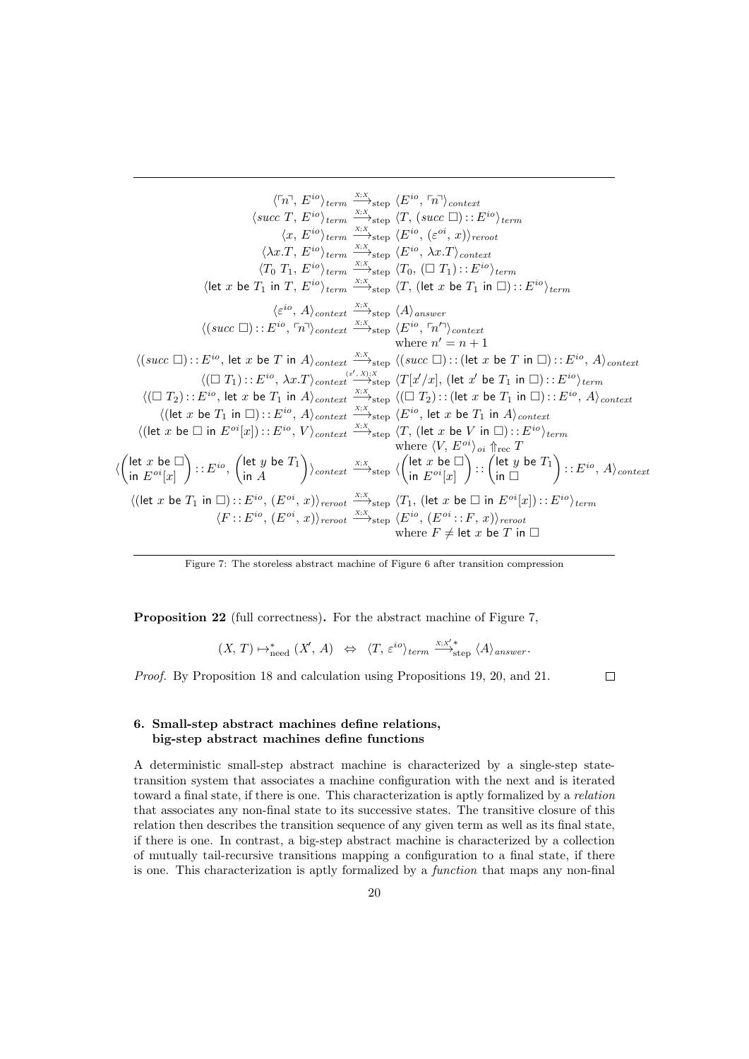$$
\langle \lceil n, E^{io} \rangle_{term} \xrightarrow{\chi, X}_{step} \langle E^{io}, \lceil n \rangle_{context} \n\langle succ T, E^{io} \rangle_{term} \xrightarrow{\chi, X}_{step} \langle T, (succ \Box) : E^{io} \rangle_{term} \n\langle x, E^{io} \rangle_{term} \xrightarrow{\chi, X}_{step} \langle E^{io}, \langle e^{oi}, x \rangle_{reroot} \n\langle \lambda x. T, E^{io} \rangle_{term} \xrightarrow{\chi, X}_{step} \langle E^{io}, \langle e^{oi}, x \rangle_{reroot} \n\langle T_0 T_1, E^{io} \rangle_{term} \xrightarrow{\chi, X}_{step} \langle T_0, (\Box T_1) : : E^{io} \rangle_{term} \n\langle let x be T_1 in T, E^{io} \rangle_{term} \xrightarrow{\chi, X}_{step} \langle T, (let x be T_1 in \Box) : : E^{io} \rangle_{term} \n\langle \langle e^{io}, A \rangle_{context} \xrightarrow{\chi, X}_{step} \langle A \rangle_{answer} \n\langle (succ \Box) : : E^{io}, \lceil n \rangle_{context} \xrightarrow{\chi, X}_{step} \langle E^{io}, \lceil n \rangle_{context} \n\langle here n' = n + 1 \n\langle (succ \Box) : : E^{io}, let x be T in A \rangle_{context} \xrightarrow{\chi, X}_{step} \langle (succ \Box) : : (let x be T in \Box) : : E^{io}, A \rangle_{context} \n\langle (\Box T_1) : : E^{io}, \lambda x. T \rangle_{context} \xrightarrow{\chi, X}_{step} \langle T[x/x], (let x be T_1 in \Box) : : E^{io}, A \rangle_{context} \n\langle (\Box T_2) : : E^{io}, let x be T_1 in A \rangle_{context} \xrightarrow{\chi, X}_{step} \langle E^{io}, let x be T_1 in A \rangle_{context} \n\langle (let x be T_1 in \Box) : : E^{io}, A \rangle_{context} \xrightarrow{\chi, X}_{step} \langle E^{io}, let x be T_1 in A \rangle_{context} \n\langle (let x be \Box in E^{oi}[x]) : : E^{io}, A \rangle_{context} \xrightarrow{\chi, X}_{step} \langle T, (let x be V in \Box) : : E^{io} \rangle_{term} \n\langle E^{oi}[x] \rangle : : E^{io}, (let y be T_1) \rangle_{context} \xrightarrow{\chi, X}_{step
$$

Figure 7: The storeless abstract machine of Figure 6 after transition compression

Proposition 22 (full correctness). For the abstract machine of Figure 7,

$$
(X, T) \mapsto_{\text{need}}^* (X', A) \iff \langle T, \varepsilon^{io} \rangle_{term} \xrightarrow{X; X'*} \langle A \rangle_{answer}.
$$

Proof. By Proposition 18 and calculation using Propositions 19, 20, and 21.

 $\Box$ 

# 6. Small-step abstract machines define relations, big-step abstract machines define functions

A deterministic small-step abstract machine is characterized by a single-step statetransition system that associates a machine configuration with the next and is iterated toward a final state, if there is one. This characterization is aptly formalized by a relation that associates any non-final state to its successive states. The transitive closure of this relation then describes the transition sequence of any given term as well as its final state, if there is one. In contrast, a big-step abstract machine is characterized by a collection of mutually tail-recursive transitions mapping a configuration to a final state, if there is one. This characterization is aptly formalized by a function that maps any non-final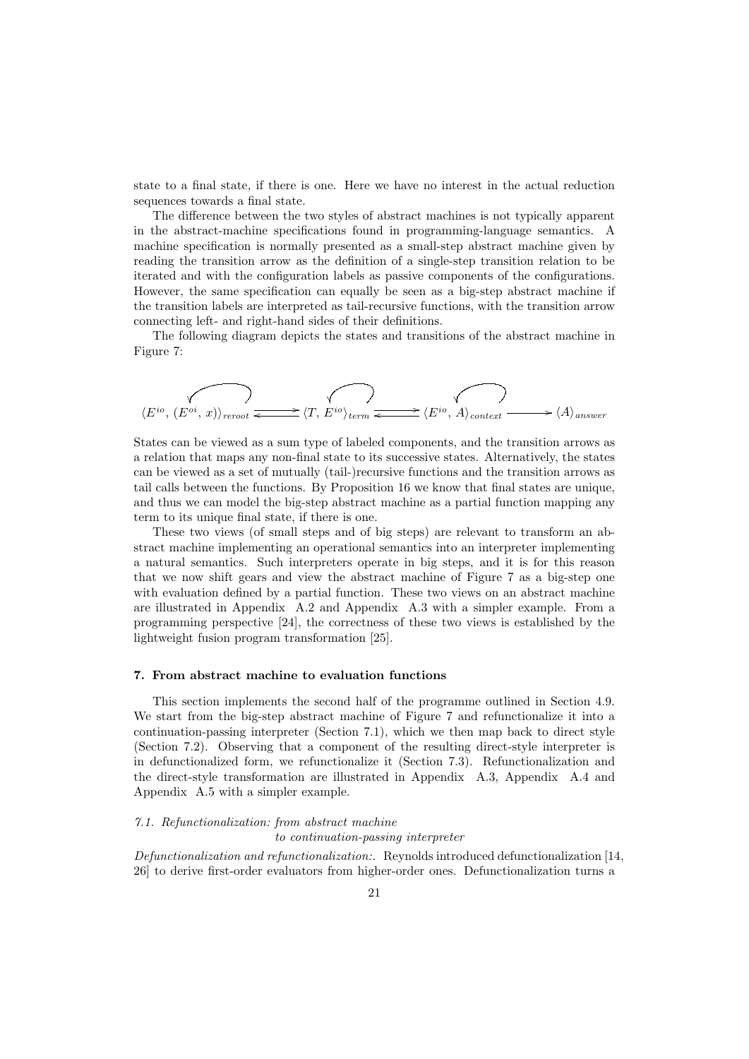state to a final state, if there is one. Here we have no interest in the actual reduction sequences towards a final state.

The difference between the two styles of abstract machines is not typically apparent in the abstract-machine specifications found in programming-language semantics. A machine specification is normally presented as a small-step abstract machine given by reading the transition arrow as the definition of a single-step transition relation to be iterated and with the configuration labels as passive components of the configurations. However, the same specification can equally be seen as a big-step abstract machine if the transition labels are interpreted as tail-recursive functions, with the transition arrow connecting left- and right-hand sides of their definitions.

The following diagram depicts the states and transitions of the abstract machine in Figure 7:

$$
\langle E^{io}, (E^{oi}, x) \rangle_{\text{reroot}} \xrightarrow{\longleftarrow} \langle T, E^{io} \rangle_{\text{term}} \xrightarrow{\longleftarrow} \langle E^{io}, A \rangle_{\text{context}} \xrightarrow{\longleftarrow} \langle A \rangle_{\text{answer}}
$$

States can be viewed as a sum type of labeled components, and the transition arrows as a relation that maps any non-final state to its successive states. Alternatively, the states can be viewed as a set of mutually (tail-)recursive functions and the transition arrows as tail calls between the functions. By Proposition 16 we know that final states are unique, and thus we can model the big-step abstract machine as a partial function mapping any term to its unique final state, if there is one.

These two views (of small steps and of big steps) are relevant to transform an abstract machine implementing an operational semantics into an interpreter implementing a natural semantics. Such interpreters operate in big steps, and it is for this reason that we now shift gears and view the abstract machine of Figure 7 as a big-step one with evaluation defined by a partial function. These two views on an abstract machine are illustrated in Appendix A.2 and Appendix A.3 with a simpler example. From a programming perspective [24], the correctness of these two views is established by the lightweight fusion program transformation [25].

#### 7. From abstract machine to evaluation functions

This section implements the second half of the programme outlined in Section 4.9. We start from the big-step abstract machine of Figure 7 and refunctionalize it into a continuation-passing interpreter (Section 7.1), which we then map back to direct style (Section 7.2). Observing that a component of the resulting direct-style interpreter is in defunctionalized form, we refunctionalize it (Section 7.3). Refunctionalization and the direct-style transformation are illustrated in Appendix A.3, Appendix A.4 and Appendix A.5 with a simpler example.

#### 7.1. Refunctionalization: from abstract machine

to continuation-passing interpreter

Defunctionalization and refunctionalization:. Reynolds introduced defunctionalization [14, 26] to derive first-order evaluators from higher-order ones. Defunctionalization turns a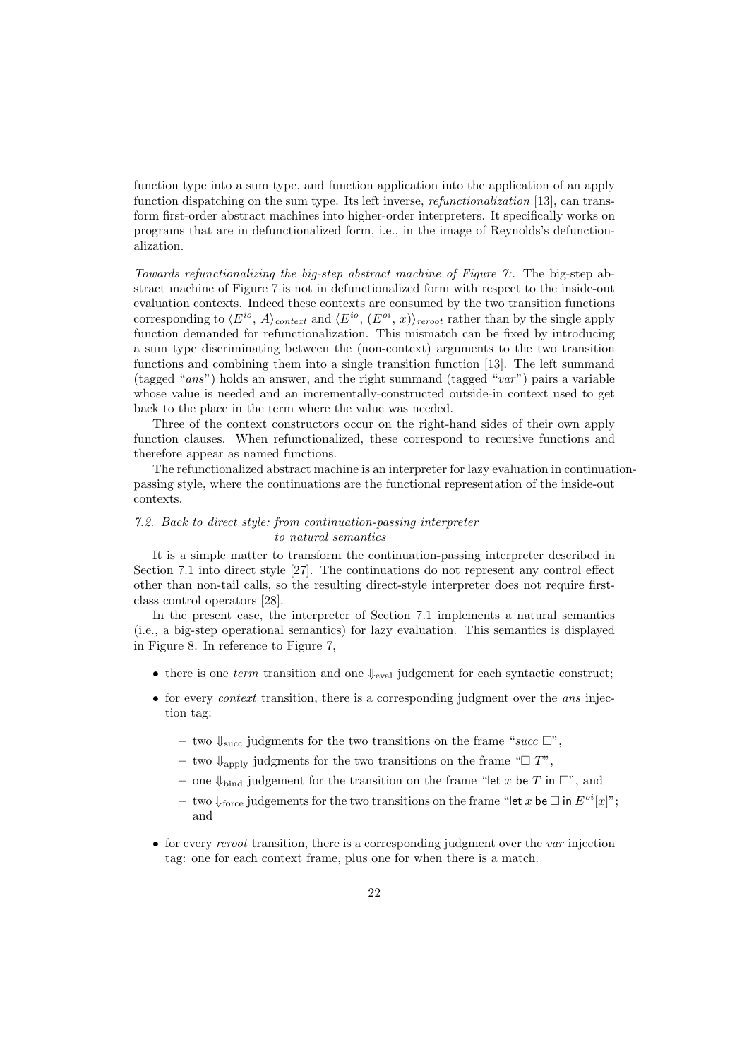function type into a sum type, and function application into the application of an apply function dispatching on the sum type. Its left inverse, *refunctionalization* [13], can transform first-order abstract machines into higher-order interpreters. It specifically works on programs that are in defunctionalized form, i.e., in the image of Reynolds's defunctionalization.

Towards refunctionalizing the big-step abstract machine of Figure 7:. The big-step abstract machine of Figure 7 is not in defunctionalized form with respect to the inside-out evaluation contexts. Indeed these contexts are consumed by the two transition functions corresponding to  $\langle E^{io}, A \rangle_{context}$  and  $\langle E^{io}, (E^{oi}, x) \rangle_{reroot}$  rather than by the single apply function demanded for refunctionalization. This mismatch can be fixed by introducing a sum type discriminating between the (non-context) arguments to the two transition functions and combining them into a single transition function [13]. The left summand (tagged "ans") holds an answer, and the right summand (tagged "var") pairs a variable whose value is needed and an incrementally-constructed outside-in context used to get back to the place in the term where the value was needed.

Three of the context constructors occur on the right-hand sides of their own apply function clauses. When refunctionalized, these correspond to recursive functions and therefore appear as named functions.

The refunctionalized abstract machine is an interpreter for lazy evaluation in continuationpassing style, where the continuations are the functional representation of the inside-out contexts.

# 7.2. Back to direct style: from continuation-passing interpreter to natural semantics

It is a simple matter to transform the continuation-passing interpreter described in Section 7.1 into direct style [27]. The continuations do not represent any control effect other than non-tail calls, so the resulting direct-style interpreter does not require firstclass control operators [28].

In the present case, the interpreter of Section 7.1 implements a natural semantics (i.e., a big-step operational semantics) for lazy evaluation. This semantics is displayed in Figure 8. In reference to Figure 7,

- there is one term transition and one  $\downarrow_{eval}$  judgement for each syntactic construct;
- for every *context* transition, there is a corresponding judgment over the *ans* injection tag:
	- two  $\downarrow$ <sub>succ</sub> judgments for the two transitions on the frame "succ  $\Box$ ",
	- two  $\downarrow$ <sub>apply</sub> judgments for the two transitions on the frame " $\Box T$ ",
	- one  $\Downarrow_{\text{bind}}$  judgement for the transition on the frame "let x be T in  $\Box$ ", and
	- two  $\downarrow$ <sub>force</sub> judgements for the two transitions on the frame "let x be  $\Box$  in  $E^{oi}[x]$ "; and
- for every *reroot* transition, there is a corresponding judgment over the *var* injection tag: one for each context frame, plus one for when there is a match.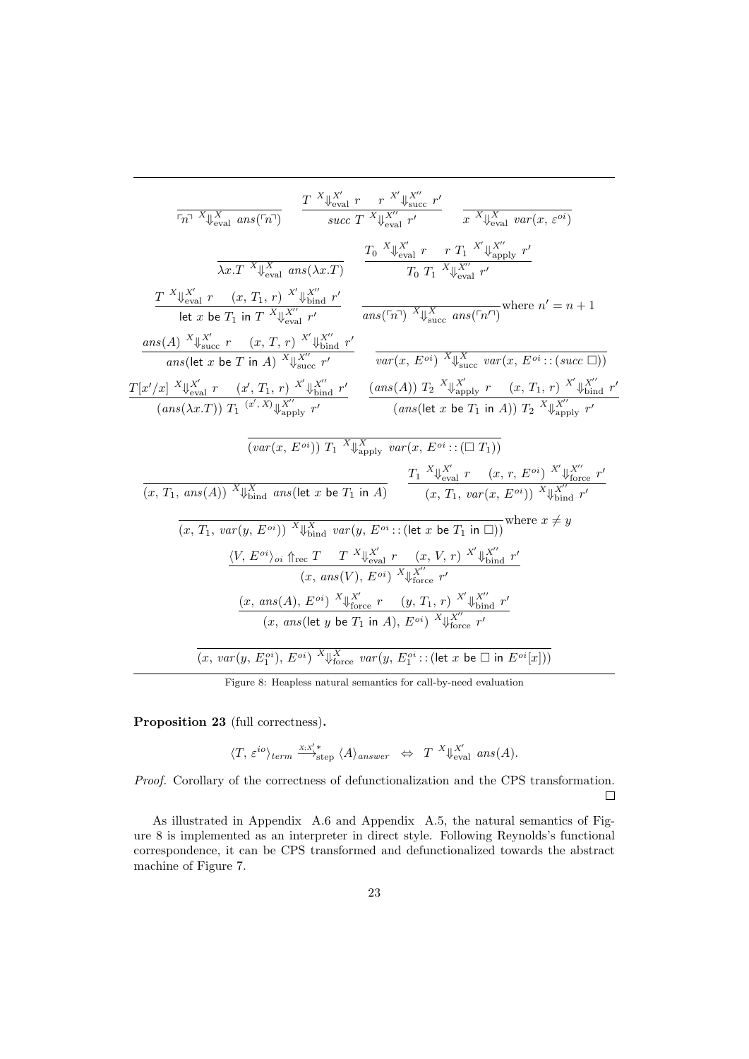$$
\frac{\frac{T}{\{x\}}\mathbb{E}_{\text{eval}}\{ans(\tau_{n})\}}{\lambda_{\text{eval}}\{ans(\tau_{n})\}} = \frac{\frac{T}{\{x\}}\mathbb{E}_{\text{eval}}\{r\}}{\lambda_{\text{eval}}\{r\}}\frac{r}{\lambda_{\text{eval}}}\frac{\mathbb{E}_{\text{eval}}\{r\}}{\lambda_{\text{eval}}\{r\}}\frac{r}{\lambda_{\text{eval}}}\frac{\mathbb{E}_{\text{eval}}\{r\}}{\lambda_{\text{eval}}\{r\}}}{\lambda_{\text{eval}}\{X\}} = \frac{T_{0} \mathbb{E}_{\text{eval}}\{X\}}{\lambda_{\text{eval}}\{X\}}\frac{r}{\lambda_{\text{eval}}\{X\}}\frac{r}{\lambda_{\text{eval}}\{X\}}\frac{r}{\lambda_{\text{eval}}\{X\}}\frac{r}{\lambda_{\text{eval}}\{X\}}\frac{r}{\lambda_{\text{eval}}\{X\}}\frac{r}{\lambda_{\text{eval}}\{X\}}}{\lambda_{\text{eval}}\{X\}} = \frac{T_{0} \mathbb{E}_{\text{eval}}\{X\}}{\lambda_{\text{eval}}\{X\}}\frac{r}{\lambda_{\text{eval}}\{X\}}\frac{r}{\lambda_{\text{eval}}\{X\}}\frac{r}{\lambda_{\text{eval}}\{X\}}\frac{r}{\lambda_{\text{eval}}\{X\}}\frac{r}{\lambda_{\text{eval}}\{X\}}\frac{r}{\lambda_{\text{eval}}\{X\}}\frac{r}{\lambda_{\text{eval}}\{X\}}\frac{r}{\lambda_{\text{eval}}\{X\}} = \frac{ms(\tau_{n})\mathbb{E}_{\text{eval}}\{X\}}{\lambda_{\text{eval}}\{X\}}\frac{r}{\lambda_{\text{eval}}\{X\}}\frac{r}{\lambda_{\text{eval}}\{X\}}\frac{r}{\lambda_{\text{eval}}\{X\}}\frac{r}{\lambda_{\text{eval}}\{X\}}\frac{r}{\lambda_{\text{eval}}\{X\}}\frac{r}{\lambda_{\text{eval}}\{X\}}\frac{r}{\lambda_{\text{eval}}\{X\}}\frac{r}{\lambda_{\text{eval}}\{X\}}\frac{r}{\lambda_{\text{eval}}\{X\}}\frac{r}{\lambda_{\text{eval}}\{X\}}\frac{r}{\lambda_{\text
$$

Figure 8: Heapless natural semantics for call-by-need evaluation

Proposition 23 (full correctness).

$$
\langle T,\ \varepsilon^{io} \rangle_{term} \stackrel{\scriptscriptstyle X;X'\ast}{\longrightarrow}_{\text{step}} \langle A \rangle_{answer} \ \ \Leftrightarrow \ \ T \ \ ^X\!\!\downarrow_{\text{eval}}^{X'} \ \text{ans}(A).
$$

Proof. Corollary of the correctness of defunctionalization and the CPS transformation.  $\Box$ 

As illustrated in Appendix A.6 and Appendix A.5, the natural semantics of Figure 8 is implemented as an interpreter in direct style. Following Reynolds's functional correspondence, it can be CPS transformed and defunctionalized towards the abstract machine of Figure 7.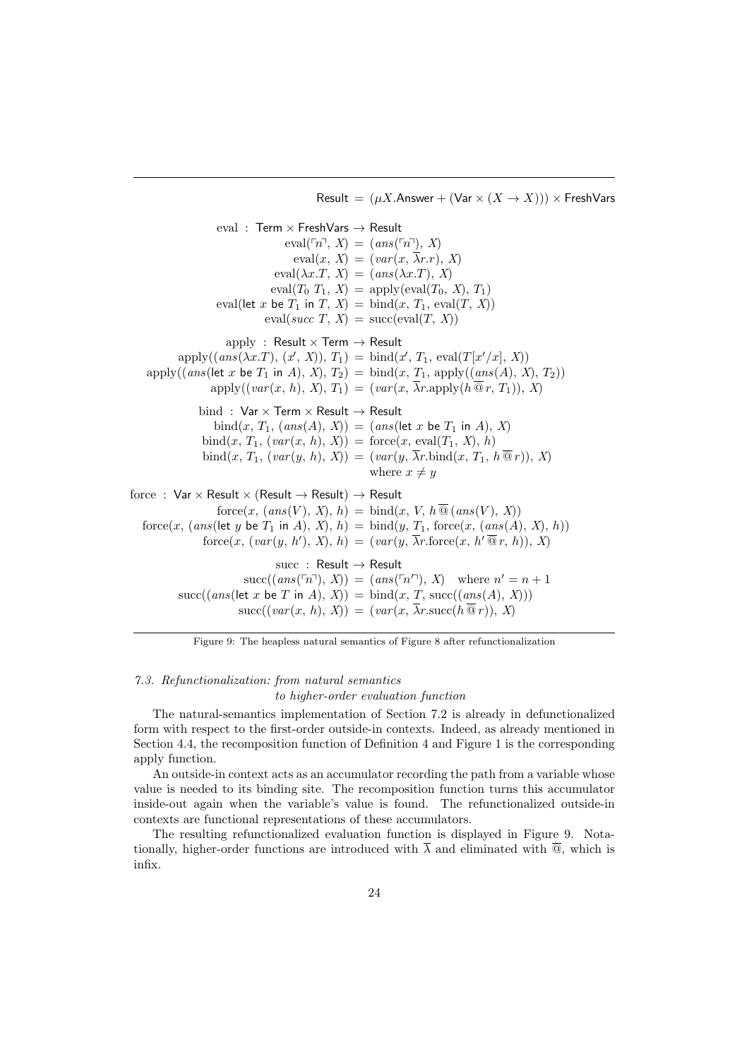Result =  $(\mu X$ . Answer +  $(\text{Var} \times (X \rightarrow X))) \times \text{FreshVars}$ 

eval : Term  $\times$  FreshVars  $\rightarrow$  Result eval( $\lceil n^{\neg}$ , X) = (ans( $\lceil n^{\neg} \rceil$ , X)  $eval(x, X) = (var(x, \overline{\lambda}r.r), X)$  $eval(\lambda x.T, X) = (ans(\lambda x.T), X)$  $eval(T_0 T_1, X) = apply(eval(T_0, X), T_1)$ eval(let x be  $T_1$  in  $T, X$ ) = bind $(x, T_1, \text{eval}(T, X))$  $eval(succ T, X) = succ(eval(T, X))$ apply : Result  $\times$  Term  $\rightarrow$  Result  $apply((ans(\lambda x.T), (x', X)), T_1) = bind(x', T_1, eval(T[x'/x], X))$ apply((ans(let x be  $T_1$  in A),  $X$ ),  $T_2$ ) = bind(x,  $T_1$ , apply((ans(A), X),  $T_2$ ))  $apply((var(x, h), X), T_1) = (var(x, \overline{\lambda}r.apply(h\overline{\mathcal{Q}}r, T_1)), X)$ bind :  $Var \times Term \times Result \rightarrow Result$  $bind(x, T_1, (ans(A), X)) = (ans(left x be T_1 in A), X)$  $bind(x, T_1, (var(x, h), X)) = force(x, eval(T_1, X), h)$  $\text{bind}(x, T_1, (var(y, h), X)) = (var(y, \overline{\lambda}r.\text{bind}(x, T_1, h\overline{\otimes} r)), X)$ where  $x \neq y$ force : Var  $\times$  Result  $\times$  (Result  $\rightarrow$  Result)  $\rightarrow$  Result  $force(x, (ans(V), X), h) = bind(x, V, h\overline{Q}(ans(V), X))$ force $(x, (ans(\text{let } y \text{ be } T_1 \text{ in } A), X), h) = \text{bind}(y, T_1, \text{force}(x, (ans(A), X), h))$  $force(x, (var(y, h'), X), h) = (var(y, \overline{\lambda}r \cdot force(x, h'\overline{\otimes}r, h)), X)$ succ : Result  $\rightarrow$  Result  $succ((ans(\ulcorner n \urcorner), X)) = (ans(\ulcorner n \urcorner), X)$  where  $n' = n + 1$  $succ((ans(\text{let } x \text{ be } T \text{ in } A), X)) = \text{bind}(x, T, succ((ans(A), X)))$  $succ((var(x, h), X)) = (var(x, \overline{\lambda}r.succ(h\overline{\mathcal{Q}}r)), X)$ 

Figure 9: The heapless natural semantics of Figure 8 after refunctionalization

# 7.3. Refunctionalization: from natural semantics

to higher-order evaluation function

The natural-semantics implementation of Section 7.2 is already in defunctionalized form with respect to the first-order outside-in contexts. Indeed, as already mentioned in Section 4.4, the recomposition function of Definition 4 and Figure 1 is the corresponding apply function.

An outside-in context acts as an accumulator recording the path from a variable whose value is needed to its binding site. The recomposition function turns this accumulator inside-out again when the variable's value is found. The refunctionalized outside-in contexts are functional representations of these accumulators.

The resulting refunctionalized evaluation function is displayed in Figure 9. Notationally, higher-order functions are introduced with  $\overline{\lambda}$  and eliminated with  $\overline{Q}$ , which is infix.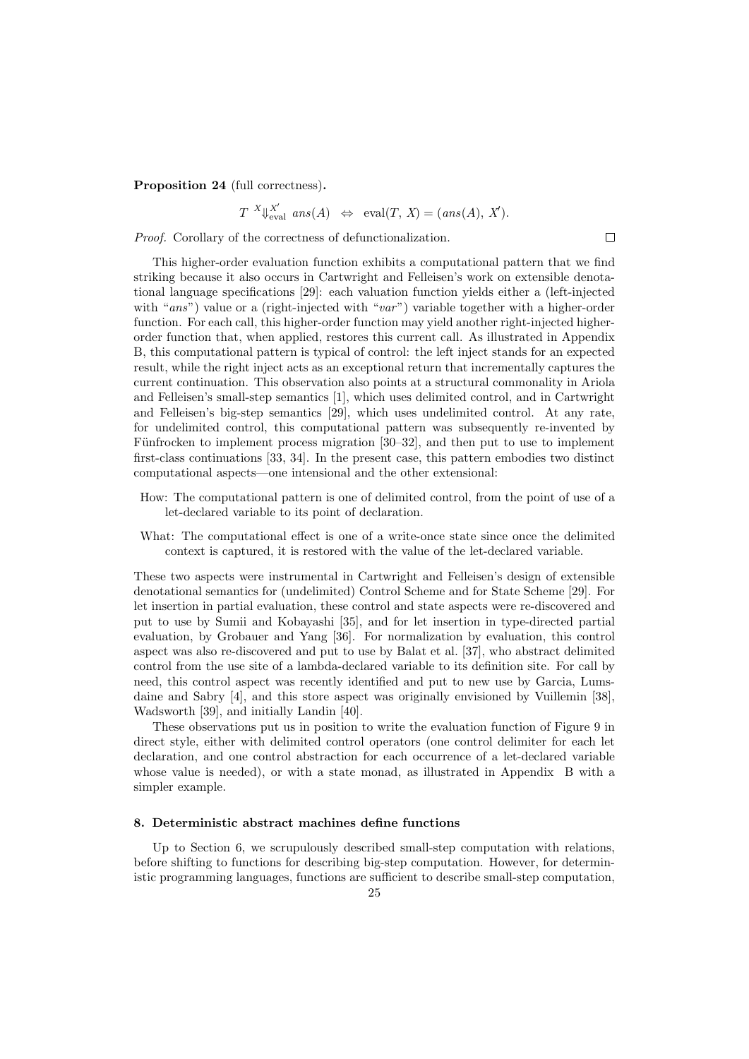Proposition 24 (full correctness).

 $T^{-X} \downarrow_{\text{eval}}^{X'} \text{ ans}(A) \Leftrightarrow \text{eval}(T, X) = (ans(A), X').$ 

 $\Box$ 

Proof. Corollary of the correctness of defunctionalization.

This higher-order evaluation function exhibits a computational pattern that we find striking because it also occurs in Cartwright and Felleisen's work on extensible denotational language specifications [29]: each valuation function yields either a (left-injected with "ans") value or a (right-injected with "var") variable together with a higher-order function. For each call, this higher-order function may yield another right-injected higherorder function that, when applied, restores this current call. As illustrated in Appendix B, this computational pattern is typical of control: the left inject stands for an expected result, while the right inject acts as an exceptional return that incrementally captures the current continuation. This observation also points at a structural commonality in Ariola and Felleisen's small-step semantics [1], which uses delimited control, and in Cartwright and Felleisen's big-step semantics [29], which uses undelimited control. At any rate, for undelimited control, this computational pattern was subsequently re-invented by Fünfrocken to implement process migration [30–32], and then put to use to implement first-class continuations [33, 34]. In the present case, this pattern embodies two distinct computational aspects—one intensional and the other extensional:

- How: The computational pattern is one of delimited control, from the point of use of a let-declared variable to its point of declaration.
- What: The computational effect is one of a write-once state since once the delimited context is captured, it is restored with the value of the let-declared variable.

These two aspects were instrumental in Cartwright and Felleisen's design of extensible denotational semantics for (undelimited) Control Scheme and for State Scheme [29]. For let insertion in partial evaluation, these control and state aspects were re-discovered and put to use by Sumii and Kobayashi [35], and for let insertion in type-directed partial evaluation, by Grobauer and Yang [36]. For normalization by evaluation, this control aspect was also re-discovered and put to use by Balat et al. [37], who abstract delimited control from the use site of a lambda-declared variable to its definition site. For call by need, this control aspect was recently identified and put to new use by Garcia, Lumsdaine and Sabry [4], and this store aspect was originally envisioned by Vuillemin [38], Wadsworth [39], and initially Landin [40].

These observations put us in position to write the evaluation function of Figure 9 in direct style, either with delimited control operators (one control delimiter for each let declaration, and one control abstraction for each occurrence of a let-declared variable whose value is needed), or with a state monad, as illustrated in Appendix B with a simpler example.

#### 8. Deterministic abstract machines define functions

Up to Section 6, we scrupulously described small-step computation with relations, before shifting to functions for describing big-step computation. However, for deterministic programming languages, functions are sufficient to describe small-step computation,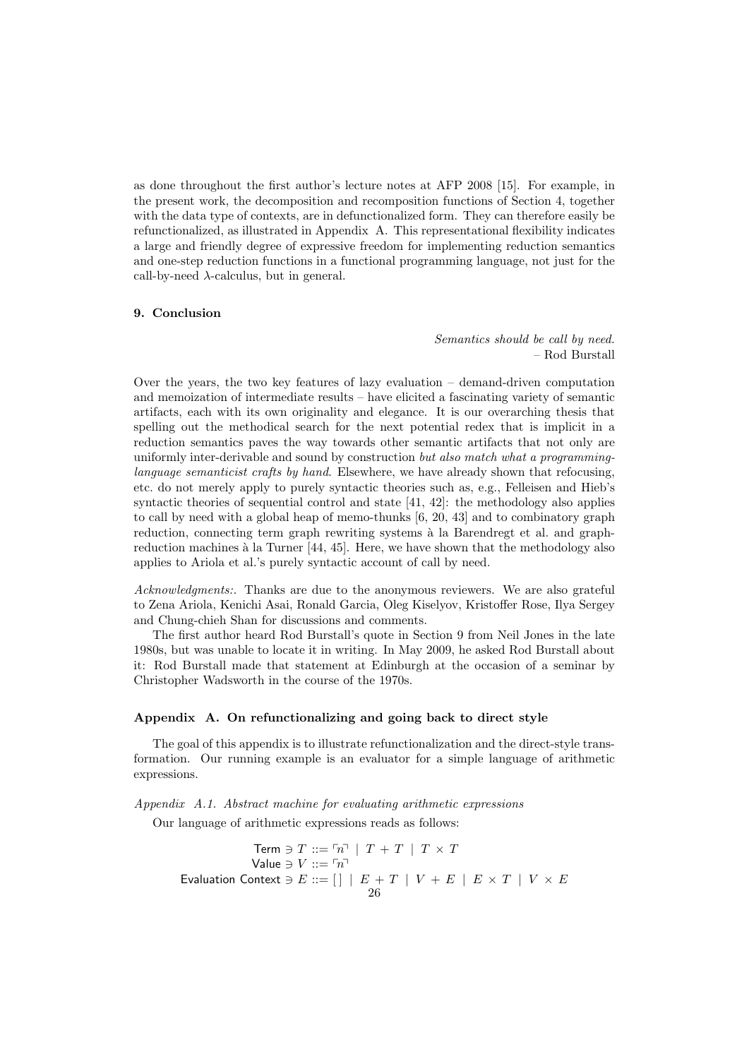as done throughout the first author's lecture notes at AFP 2008 [15]. For example, in the present work, the decomposition and recomposition functions of Section 4, together with the data type of contexts, are in defunctionalized form. They can therefore easily be refunctionalized, as illustrated in Appendix A. This representational flexibility indicates a large and friendly degree of expressive freedom for implementing reduction semantics and one-step reduction functions in a functional programming language, not just for the call-by-need  $\lambda$ -calculus, but in general.

## 9. Conclusion

Semantics should be call by need. – Rod Burstall

Over the years, the two key features of lazy evaluation – demand-driven computation and memoization of intermediate results – have elicited a fascinating variety of semantic artifacts, each with its own originality and elegance. It is our overarching thesis that spelling out the methodical search for the next potential redex that is implicit in a reduction semantics paves the way towards other semantic artifacts that not only are uniformly inter-derivable and sound by construction but also match what a programminglanguage semanticist crafts by hand. Elsewhere, we have already shown that refocusing, etc. do not merely apply to purely syntactic theories such as, e.g., Felleisen and Hieb's syntactic theories of sequential control and state [41, 42]: the methodology also applies to call by need with a global heap of memo-thunks [6, 20, 43] and to combinatory graph reduction, connecting term graph rewriting systems à la Barendregt et al. and graphreduction machines à la Turner [44, 45]. Here, we have shown that the methodology also applies to Ariola et al.'s purely syntactic account of call by need.

Acknowledgments:. Thanks are due to the anonymous reviewers. We are also grateful to Zena Ariola, Kenichi Asai, Ronald Garcia, Oleg Kiselyov, Kristoffer Rose, Ilya Sergey and Chung-chieh Shan for discussions and comments.

The first author heard Rod Burstall's quote in Section 9 from Neil Jones in the late 1980s, but was unable to locate it in writing. In May 2009, he asked Rod Burstall about it: Rod Burstall made that statement at Edinburgh at the occasion of a seminar by Christopher Wadsworth in the course of the 1970s.

#### Appendix A. On refunctionalizing and going back to direct style

The goal of this appendix is to illustrate refunctionalization and the direct-style transformation. Our running example is an evaluator for a simple language of arithmetic expressions.

Appendix A.1. Abstract machine for evaluating arithmetic expressions

Our language of arithmetic expressions reads as follows:

$$
\begin{array}{c} \text{Term } \ni T::=\ulcorner n \urcorner \mid T+T \mid T\times T \\ \text{Value } \ni V::=\ulcorner n \urcorner \\ \text{Evaluation Context } \ni E::=\left[ \right] \mid E+T \mid V+E \mid E\times T \mid V\times E \\ 26 \end{array}
$$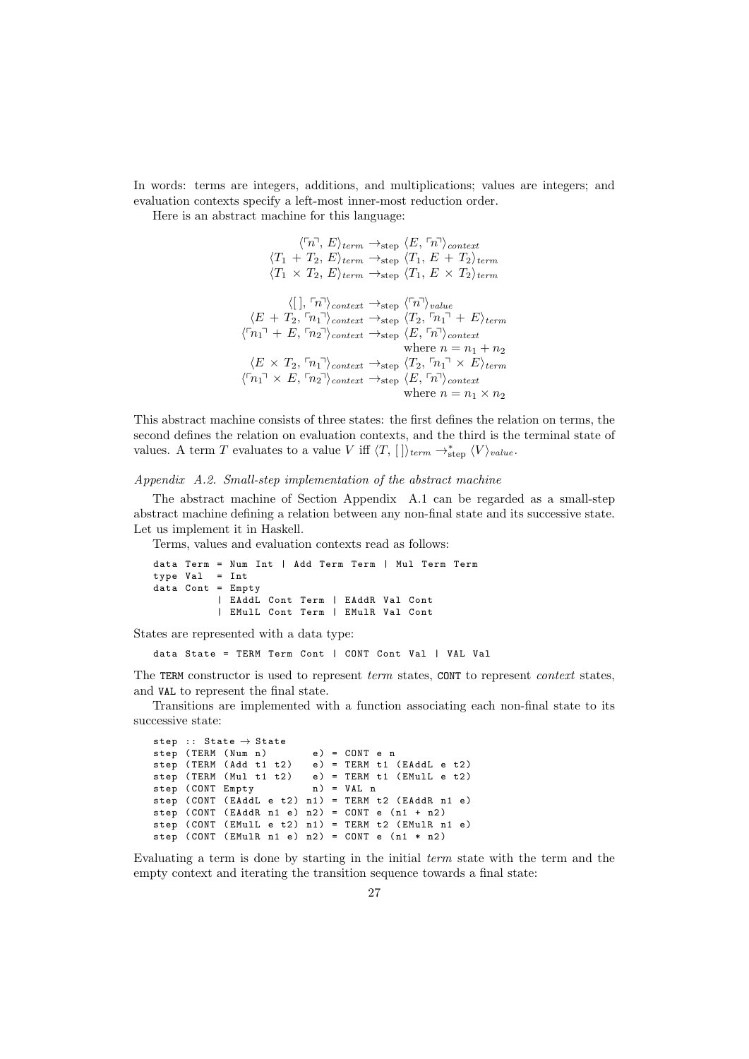In words: terms are integers, additions, and multiplications; values are integers; and evaluation contexts specify a left-most inner-most reduction order.

Here is an abstract machine for this language:

```
\langle \lceil n \rceil, E \rangle_{term} \rightarrow_{step} \langle E, \lceil n \rceil \rangle_{context}\langle T_1 + T_2, E \rangle_{term} \rightarrow_{step} \langle T_1, E + T_2 \rangle_{term}\langle T_1 \times T_2, E \rangle_{term} \rightarrow_{step} \langle T_1, E \times T_2 \rangle_{term}\langle [\ ] , \lceil n \rceil \rangle_{context} \rightarrow_{step} \langle \lceil n \rceil \rangle_{value}\langle E + T_2, \lceil n_1 \rceil \rangle_{context} \rightarrow_{step} \langle T_2, \lceil n_1 \rceil + E \rangle_{term}\langle \nabla n_1 \rangle + E, \langle n_2 \rangle<sub>context</sub> \rightarrow<sub>step</sub> \langle E, \nabla n \rangle<sub>context</sub>
                                                                          where n = n_1 + n_2\langle E \times T_2, \lceil n_1 \rceil \rangle_{context} \rightarrow_{step} \langle T_2, \lceil n_1 \rceil \times E \rangle_{term}\langle \lceil n_1 \rceil \times E, \lceil n_2 \rceil \rangle_{context} \rightarrow_{step} \langle E, \lceil n \rceil \rangle_{context}where n = n_1 \times n_2
```
This abstract machine consists of three states: the first defines the relation on terms, the second defines the relation on evaluation contexts, and the third is the terminal state of values. A term T evaluates to a value V iff  $\langle T, [ ] \rangle_{term} \rightarrow_{step}^{*} \langle V \rangle_{value}$ .

Appendix A.2. Small-step implementation of the abstract machine

The abstract machine of Section Appendix A.1 can be regarded as a small-step abstract machine defining a relation between any non-final state and its successive state. Let us implement it in Haskell.

Terms, values and evaluation contexts read as follows:

```
data Term = Num Int | Add Term Term | Mul Term Term
type Val = Int
data Cont = Empty
          | EAddL Cont Term | EAddR Val Cont
          | EMulL Cont Term | EMulR Val Cont
```
States are represented with a data type:

data State = TERM Term Cont | CONT Cont Val | VAL Val

The TERM constructor is used to represent term states, CONT to represent *context* states, and VAL to represent the final state.

Transitions are implemented with a function associating each non-final state to its successive state:

```
step :: State \rightarrow State
step (TERM (Num n) e) = CONT e n
step (TERM (Add t1 t2) e) = TERM t1 (EAddL e t2)<br>step (TERM (Mul t1 t2) e) = TERM t1 (EMulL e t2)
                               e) = TERN t1 (EMu1L e t2)<br>
n) = VAL n
step (CONT Empty
step ( CONT ( EAddL e t2 ) n1 ) = TERM t2 ( EAddR n1 e)
step ( CONT ( EAddR n1 e) n2 ) = CONT e (n1 + n2)step ( CONT ( EMulL e t2 ) n1 ) = TERM t2 ( EMulR n1 e)
step (CONT (EMulR n1 e) n2) = CONT e (n1 * n2)
```
Evaluating a term is done by starting in the initial term state with the term and the empty context and iterating the transition sequence towards a final state: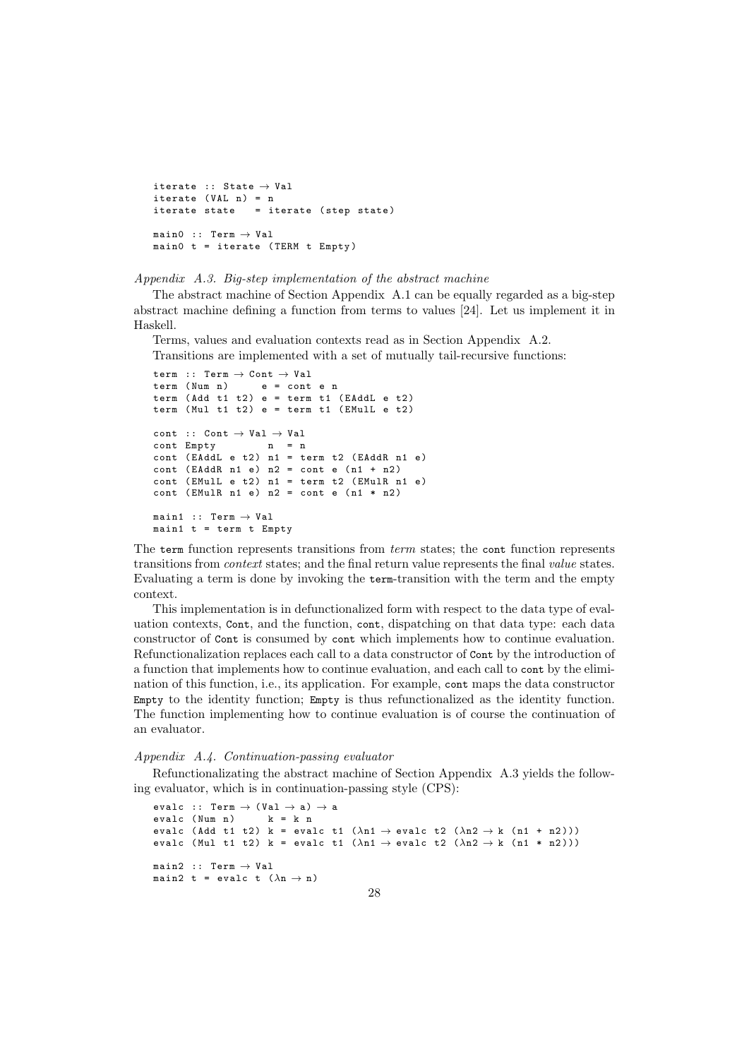```
iterate :: State \rightarrow Val
iterate (VAL n) = niterate state = iterate (step state)
\mathtt{main0}\ \ \mathrel{::}\ \ \mathtt{Term}\ \rightarrow\ \mathtt{Val}main0 t = iterate (TERM t Empty)
```
Appendix A.3. Big-step implementation of the abstract machine

The abstract machine of Section Appendix A.1 can be equally regarded as a big-step abstract machine defining a function from terms to values [24]. Let us implement it in Haskell.

Terms, values and evaluation contexts read as in Section Appendix A.2. Transitions are implemented with a set of mutually tail-recursive functions:

```
term :: Term \rightarrow Cont \rightarrow Val<br>term (Num n) e = cont
term ( Num n) e = cont e n
term (Add t1 t2) e = term t1 (EAddL e t2)
term (Mul t1 t2) e = term t1 (EMulL e t2)
cont :: Cont \rightarrow Val \rightarrow Val
cont Empty n = n
cont (EAddL e t2) n1 = term t2 (EAddR n1 e)
cont (EAddR n1 e) n2 = cont e (n1 + n2)
cont (EMulL e t2) n1 = term t2 (EMulR n1 e)
cont (EMu1R n1 e) n2 = cont e (n1 * n2)
main1 :: Term \rightarrow Val
main1 t = term t Empty
```
The term function represents transitions from term states; the cont function represents transitions from context states; and the final return value represents the final value states. Evaluating a term is done by invoking the term-transition with the term and the empty context.

This implementation is in defunctionalized form with respect to the data type of evaluation contexts, Cont, and the function, cont, dispatching on that data type: each data constructor of Cont is consumed by cont which implements how to continue evaluation. Refunctionalization replaces each call to a data constructor of Cont by the introduction of a function that implements how to continue evaluation, and each call to cont by the elimination of this function, i.e., its application. For example, cont maps the data constructor Empty to the identity function; Empty is thus refunctionalized as the identity function. The function implementing how to continue evaluation is of course the continuation of an evaluator.

#### Appendix A.4. Continuation-passing evaluator

Refunctionalizating the abstract machine of Section Appendix A.3 yields the following evaluator, which is in continuation-passing style (CPS):

```
evalc :: Term \rightarrow (Val \rightarrow a) \rightarrow a<br>evalc (Num n) k = k n
evalc (Num n)
evalc (Add t1 t2) k = evalc t1 (\lambdan1 \rightarrow evalc t2 (\lambdan2 \rightarrow k (n1 + n2)))
evalc (Mul t1 t2) k = evalc t1 (\lambdan1 \rightarrow evalc t2 (\lambdan2 \rightarrow k (n1 * n2)))
main2 :: Term \rightarrow Val
main2 t = evalc t (\lambda n \rightarrow n)
```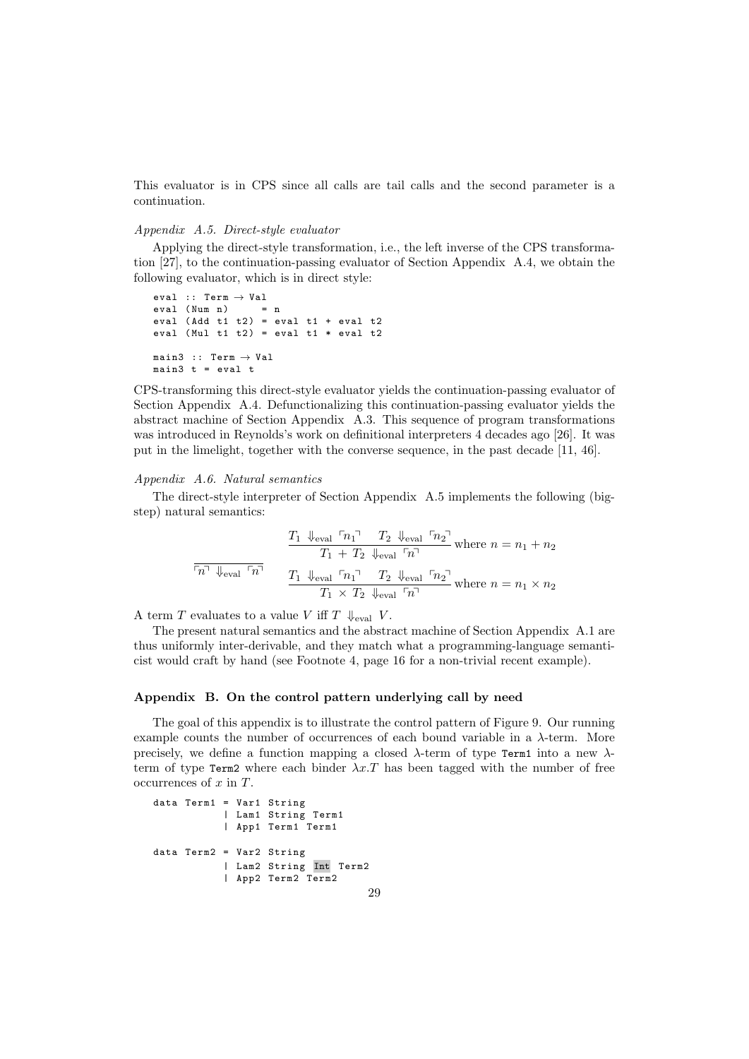This evaluator is in CPS since all calls are tail calls and the second parameter is a continuation.

## Appendix A.5. Direct-style evaluator

Applying the direct-style transformation, i.e., the left inverse of the CPS transformation [27], to the continuation-passing evaluator of Section Appendix A.4, we obtain the following evaluator, which is in direct style:

```
eval :: Term \rightarrow Val
eval (Num n) = n
eval (Add t1 t2) = eval t1 + eval t2
eval (Mul t1 t2) = eval t1 * eval t2
main3 :: Term \rightarrow Val
main3 t = eva1 t
```
CPS-transforming this direct-style evaluator yields the continuation-passing evaluator of Section Appendix A.4. Defunctionalizing this continuation-passing evaluator yields the abstract machine of Section Appendix A.3. This sequence of program transformations was introduced in Reynolds's work on definitional interpreters 4 decades ago [26]. It was put in the limelight, together with the converse sequence, in the past decade [11, 46].

#### Appendix A.6. Natural semantics

The direct-style interpreter of Section Appendix A.5 implements the following (bigstep) natural semantics:

$$
\frac{T_1 \downarrow_{\text{eval}} \ulcorner n_1 \urcorner \quad T_2 \downarrow_{\text{eval}} \ulcorner n_2 \urcorner}{T_1 + T_2 \downarrow_{\text{eval}} \ulcorner n_1 \urcorner} \text{ where } n = n_1 + n_2
$$
\n
$$
\frac{\ulcorner n \urcorner \downarrow_{\text{eval}} \ulcorner n_1 \urcorner \quad T_2 \downarrow_{\text{eval}} \ulcorner n_2 \urcorner}{T_1 \times T_2 \downarrow_{\text{eval}} \ulcorner n_2 \urcorner} \text{ where } n = n_1 \times n_2
$$

A term T evaluates to a value V iff T  $\downarrow$ <sub>eval</sub> V.

The present natural semantics and the abstract machine of Section Appendix A.1 are thus uniformly inter-derivable, and they match what a programming-language semanticist would craft by hand (see Footnote 4, page 16 for a non-trivial recent example).

#### Appendix B. On the control pattern underlying call by need

The goal of this appendix is to illustrate the control pattern of Figure 9. Our running example counts the number of occurrences of each bound variable in a  $\lambda$ -term. More precisely, we define a function mapping a closed  $\lambda$ -term of type Term1 into a new  $\lambda$ term of type Term2 where each binder  $\lambda x$ . T has been tagged with the number of free occurrences of  $x$  in  $T$ .

```
data Term1 = Var1 String
           | Lam1 String Term1
           | App1 Term1 Term1
data Term2 = Var2 String
           | Lam2 String Int Term2
           | App2 Term2 Term2
```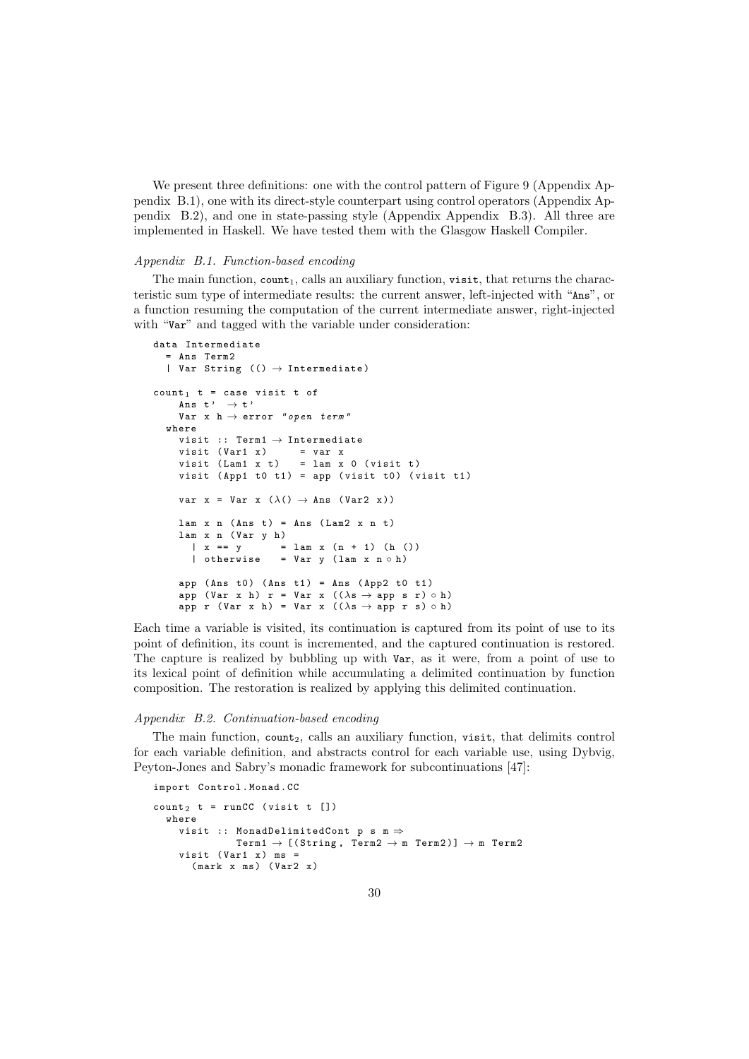We present three definitions: one with the control pattern of Figure 9 (Appendix Appendix B.1), one with its direct-style counterpart using control operators (Appendix Appendix B.2), and one in state-passing style (Appendix Appendix B.3). All three are implemented in Haskell. We have tested them with the Glasgow Haskell Compiler.

#### Appendix B.1. Function-based encoding

The main function,  $count_1$ , calls an auxiliary function, visit, that returns the characteristic sum type of intermediate results: the current answer, left-injected with "Ans", or a function resuming the computation of the current intermediate answer, right-injected with "Var" and tagged with the variable under consideration:

```
data Intermediate
   = Ans Term2
   | Var String (() \rightarrow Intermediate)count<sub>1</sub> t = case visit t of
      Ans t' \rightarrow t'Var x h \rightarrow error "open term"
   where
      visit :: Term1 \rightarrow Intermediate
      visit (Var1 x) = var x
      visit (Lam1 \times t) = lam \times 0 (visit t)
      visit (App1 t0 t1) = app (visit t0) (visit t1)
      var x = Var x (\lambda() \rightarrow \text{Ans } (\text{Var2 x}))lam x n (Ans t) = Ans (Lam2 x n t)\begin{array}{rcl}\n\texttt{lam} & x & n \ (\texttt{Var} & y & h) \\
\mid & x & == y & =\n\end{array}\begin{cases} x == y == \text{lam } x (n + 1) (h ()) \\ \text{otherwise} == \text{Var } y (lam x n o h) \end{cases}= Var y (lam x n \circ h)
      app (Ans t0) (Ans t1) = Ans (App2 t0 t1)
      app (Var x h) r = Var x ((\lambda s \rightarrow app s r) \circ h)
      app r (Var x h) = Var x ((\lambda s \rightarrow app \ r \ s) \circ h)
```
Each time a variable is visited, its continuation is captured from its point of use to its point of definition, its count is incremented, and the captured continuation is restored. The capture is realized by bubbling up with Var, as it were, from a point of use to its lexical point of definition while accumulating a delimited continuation by function composition. The restoration is realized by applying this delimited continuation.

#### Appendix B.2. Continuation-based encoding

The main function, count<sub>2</sub>, calls an auxiliary function, visit, that delimits control for each variable definition, and abstracts control for each variable use, using Dybvig, Peyton-Jones and Sabry's monadic framework for subcontinuations [47]:

```
import Control . Monad . CC
count<sub>2</sub> t = runCC (visit t [])
```

```
where
  visit :: MonadDelimitedCont p s m \Rightarrow\texttt{Term1} \rightarrow [\texttt{(String, Term2} \rightarrow \texttt{m Term2})] \rightarrow \texttt{m Term2}visit (Var1 x) ms =(maxk x ms) (Var2 x)
```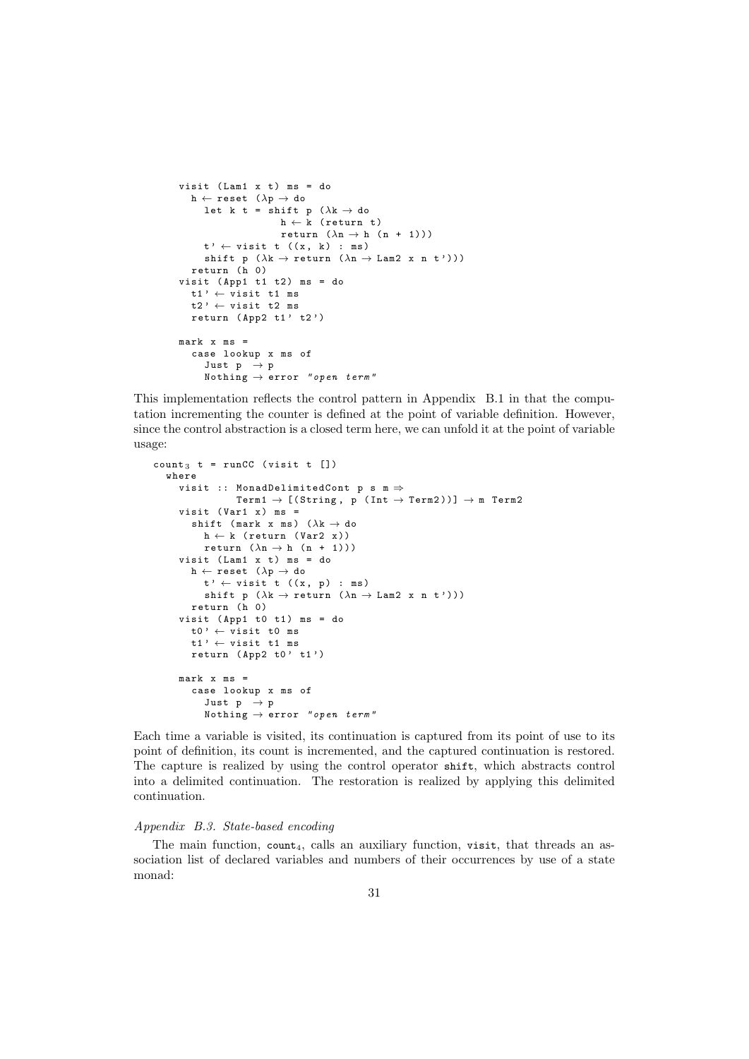```
visit (Lam1 x t) ms = do
  h \leftarrow \mathtt{reset} \ \ (\lambda \mathtt{p} \rightarrow \mathtt{do}let k t = shift p (\lambda \mathbf{k} \to \mathbf{d}\mathbf{o})h \leftarrow k (return t)
                         return (\lambda n \rightarrow h (n + 1)))t' \leftarrow \text{visit } t \ (x, k) : msshift p (\lambda k \rightarrow return (\lambda n \rightarrow Lam2 x n t')))
   return (h 0)
visit (App1 t1 t2) ms = do
  t1' \leftarrow \text{visit} t1 \text{ ms}t2' \leftarrow visit t2 ms
   return (App2 t1' t2')mark x ms =case lookup x ms of
      Just p \rightarrow pNothing \rightarrow error "open term"
```
This implementation reflects the control pattern in Appendix B.1 in that the computation incrementing the counter is defined at the point of variable definition. However, since the control abstraction is a closed term here, we can unfold it at the point of variable usage:

```
count<sub>3</sub> t = runCC (visit t [])
   where
      visit :: MonadDelimitedCont p s m \Rightarrow\texttt{Term1} \rightarrow [\texttt{(String, p (Int \rightarrow \texttt{Term2})})] \rightarrow \texttt{m Term2}visit (Var1 x) ms =
         shift (mark x ms) (\lambda k \rightarrow d\sigma)h \leftarrow k (return (Var2 x))
            return (\lambda n \rightarrow h (n + 1)))visit (Lam1 x t) ms = do
         h \leftarrow reset (\lambda p \rightarrow d\sigma)t' \leftarrow \text{visit } t \quad ((x, p) : ms)shift p (\lambda \kappa \to \texttt{return} (\lambda \nho \to \texttt{Lam2} \nrho \nho \nho \cdot \nho))return (h 0)
      visit (App1 t0 t1) ms = dot0' \leftarrow vist t0 ms
         t1' \leftarrow visit t1 ms
         return (\text{App2 }t0' t1')
      mark x ms =case lookup x ms of
            Just p \rightarrow pNothing \rightarrow error "open term"
```
Each time a variable is visited, its continuation is captured from its point of use to its point of definition, its count is incremented, and the captured continuation is restored. The capture is realized by using the control operator shift, which abstracts control into a delimited continuation. The restoration is realized by applying this delimited continuation.

#### Appendix B.3. State-based encoding

The main function,  $count_4$ , calls an auxiliary function, visit, that threads an association list of declared variables and numbers of their occurrences by use of a state monad: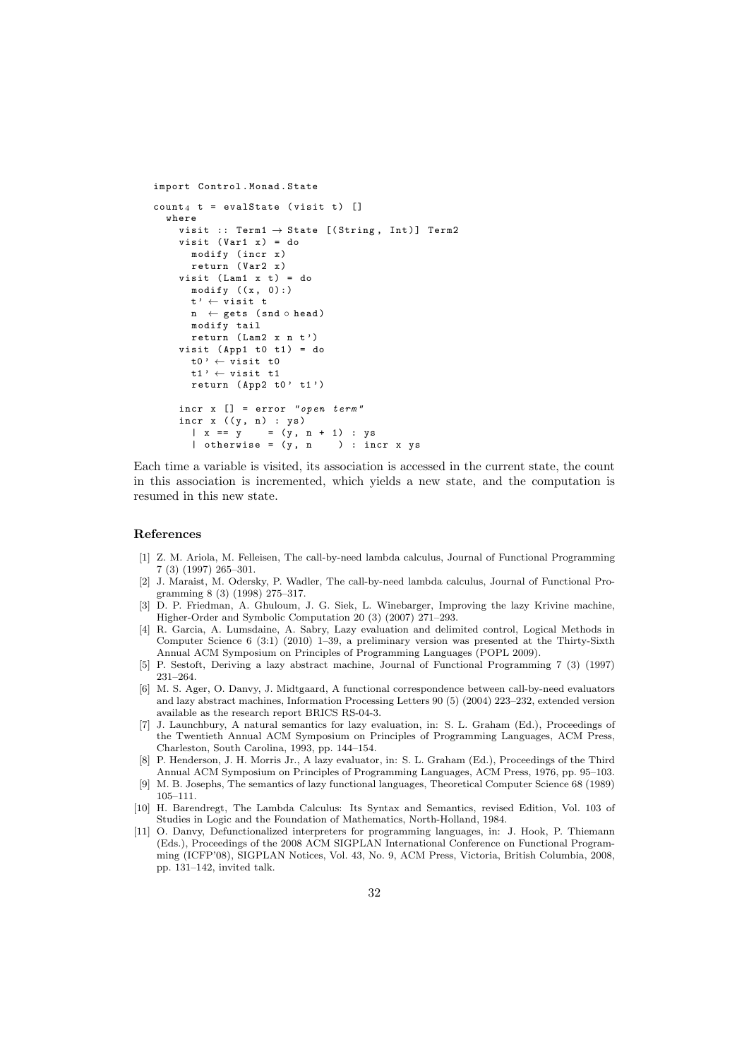```
import Control . Monad . State
count_A t = evalState (visit t) []
  where
     visit :: Term1 \rightarrow State [(String, Int)] Term2
     visit (Var1 x) = domodify ( incr x )
       return (Var2 x)
     visit (Lam1 x t) = do
       modify ((x, 0):)t' \leftarrow \text{visit } tn \leftarrow gets (snd \circ head)
       modify tail
       return (Lam2 x n t')
     visit (App1 t0 t1) = dot0' \leftarrow vist t0
       t1' \leftarrow vist t1
       return (App2 t0' t1')
     incr x [] = error " open term "
     incr x ((y, n) : ys)<br>
|x == y = (y,
                      =(y, n + 1) : ys<br>= (y, n) : incr x ys
       | otherwise = (y, n)
```
Each time a variable is visited, its association is accessed in the current state, the count in this association is incremented, which yields a new state, and the computation is resumed in this new state.

## References

- [1] Z. M. Ariola, M. Felleisen, The call-by-need lambda calculus, Journal of Functional Programming 7 (3) (1997) 265–301.
- [2] J. Maraist, M. Odersky, P. Wadler, The call-by-need lambda calculus, Journal of Functional Programming 8 (3) (1998) 275–317.
- [3] D. P. Friedman, A. Ghuloum, J. G. Siek, L. Winebarger, Improving the lazy Krivine machine, Higher-Order and Symbolic Computation 20 (3) (2007) 271–293.
- [4] R. Garcia, A. Lumsdaine, A. Sabry, Lazy evaluation and delimited control, Logical Methods in Computer Science 6 (3:1) (2010) 1–39, a preliminary version was presented at the Thirty-Sixth Annual ACM Symposium on Principles of Programming Languages (POPL 2009).
- [5] P. Sestoft, Deriving a lazy abstract machine, Journal of Functional Programming 7 (3) (1997) 231–264.
- [6] M. S. Ager, O. Danvy, J. Midtgaard, A functional correspondence between call-by-need evaluators and lazy abstract machines, Information Processing Letters 90 (5) (2004) 223–232, extended version available as the research report BRICS RS-04-3.
- [7] J. Launchbury, A natural semantics for lazy evaluation, in: S. L. Graham (Ed.), Proceedings of the Twentieth Annual ACM Symposium on Principles of Programming Languages, ACM Press, Charleston, South Carolina, 1993, pp. 144–154.
- [8] P. Henderson, J. H. Morris Jr., A lazy evaluator, in: S. L. Graham (Ed.), Proceedings of the Third Annual ACM Symposium on Principles of Programming Languages, ACM Press, 1976, pp. 95–103.
- [9] M. B. Josephs, The semantics of lazy functional languages, Theoretical Computer Science 68 (1989) 105–111.
- [10] H. Barendregt, The Lambda Calculus: Its Syntax and Semantics, revised Edition, Vol. 103 of Studies in Logic and the Foundation of Mathematics, North-Holland, 1984.
- [11] O. Danvy, Defunctionalized interpreters for programming languages, in: J. Hook, P. Thiemann (Eds.), Proceedings of the 2008 ACM SIGPLAN International Conference on Functional Programming (ICFP'08), SIGPLAN Notices, Vol. 43, No. 9, ACM Press, Victoria, British Columbia, 2008, pp. 131–142, invited talk.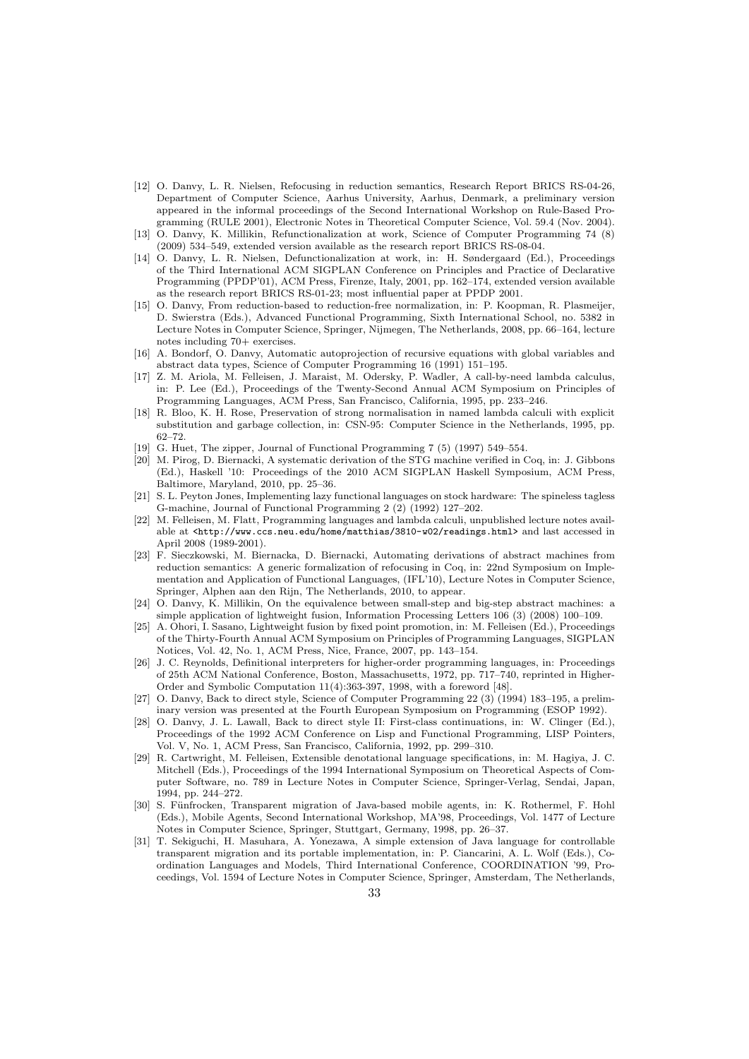- [12] O. Danvy, L. R. Nielsen, Refocusing in reduction semantics, Research Report BRICS RS-04-26, Department of Computer Science, Aarhus University, Aarhus, Denmark, a preliminary version appeared in the informal proceedings of the Second International Workshop on Rule-Based Programming (RULE 2001), Electronic Notes in Theoretical Computer Science, Vol. 59.4 (Nov. 2004).
- [13] O. Danvy, K. Millikin, Refunctionalization at work, Science of Computer Programming 74 (8) (2009) 534–549, extended version available as the research report BRICS RS-08-04.
- [14] O. Danvy, L. R. Nielsen, Defunctionalization at work, in: H. Søndergaard (Ed.), Proceedings of the Third International ACM SIGPLAN Conference on Principles and Practice of Declarative Programming (PPDP'01), ACM Press, Firenze, Italy, 2001, pp. 162–174, extended version available as the research report BRICS RS-01-23; most influential paper at PPDP 2001.
- [15] O. Danvy, From reduction-based to reduction-free normalization, in: P. Koopman, R. Plasmeijer, D. Swierstra (Eds.), Advanced Functional Programming, Sixth International School, no. 5382 in Lecture Notes in Computer Science, Springer, Nijmegen, The Netherlands, 2008, pp. 66–164, lecture notes including 70+ exercises.
- [16] A. Bondorf, O. Danvy, Automatic autoprojection of recursive equations with global variables and abstract data types, Science of Computer Programming 16 (1991) 151–195.
- [17] Z. M. Ariola, M. Felleisen, J. Maraist, M. Odersky, P. Wadler, A call-by-need lambda calculus, in: P. Lee (Ed.), Proceedings of the Twenty-Second Annual ACM Symposium on Principles of Programming Languages, ACM Press, San Francisco, California, 1995, pp. 233–246.
- [18] R. Bloo, K. H. Rose, Preservation of strong normalisation in named lambda calculi with explicit substitution and garbage collection, in: CSN-95: Computer Science in the Netherlands, 1995, pp. 62–72.
- [19] G. Huet, The zipper, Journal of Functional Programming 7 (5) (1997) 549–554.
- [20] M. Pirog, D. Biernacki, A systematic derivation of the STG machine verified in Coq, in: J. Gibbons (Ed.), Haskell '10: Proceedings of the 2010 ACM SIGPLAN Haskell Symposium, ACM Press, Baltimore, Maryland, 2010, pp. 25–36.
- [21] S. L. Peyton Jones, Implementing lazy functional languages on stock hardware: The spineless tagless G-machine, Journal of Functional Programming 2 (2) (1992) 127–202.
- [22] M. Felleisen, M. Flatt, Programming languages and lambda calculi, unpublished lecture notes available at <http://www.ccs.neu.edu/home/matthias/3810-w02/readings.html> and last accessed in April 2008 (1989-2001).
- [23] F. Sieczkowski, M. Biernacka, D. Biernacki, Automating derivations of abstract machines from reduction semantics: A generic formalization of refocusing in Coq, in: 22nd Symposium on Implementation and Application of Functional Languages, (IFL'10), Lecture Notes in Computer Science, Springer, Alphen aan den Rijn, The Netherlands, 2010, to appear.
- [24] O. Danvy, K. Millikin, On the equivalence between small-step and big-step abstract machines: a simple application of lightweight fusion, Information Processing Letters 106 (3) (2008) 100–109.
- [25] A. Ohori, I. Sasano, Lightweight fusion by fixed point promotion, in: M. Felleisen (Ed.), Proceedings of the Thirty-Fourth Annual ACM Symposium on Principles of Programming Languages, SIGPLAN Notices, Vol. 42, No. 1, ACM Press, Nice, France, 2007, pp. 143–154.
- [26] J. C. Reynolds, Definitional interpreters for higher-order programming languages, in: Proceedings of 25th ACM National Conference, Boston, Massachusetts, 1972, pp. 717–740, reprinted in Higher-Order and Symbolic Computation 11(4):363-397, 1998, with a foreword [48].
- [27] O. Danvy, Back to direct style, Science of Computer Programming 22 (3) (1994) 183–195, a preliminary version was presented at the Fourth European Symposium on Programming (ESOP 1992).
- [28] O. Danvy, J. L. Lawall, Back to direct style II: First-class continuations, in: W. Clinger (Ed.), Proceedings of the 1992 ACM Conference on Lisp and Functional Programming, LISP Pointers, Vol. V, No. 1, ACM Press, San Francisco, California, 1992, pp. 299–310.
- [29] R. Cartwright, M. Felleisen, Extensible denotational language specifications, in: M. Hagiya, J. C. Mitchell (Eds.), Proceedings of the 1994 International Symposium on Theoretical Aspects of Computer Software, no. 789 in Lecture Notes in Computer Science, Springer-Verlag, Sendai, Japan, 1994, pp. 244–272.
- [30] S. Fünfrocken, Transparent migration of Java-based mobile agents, in: K. Rothermel, F. Hohl (Eds.), Mobile Agents, Second International Workshop, MA'98, Proceedings, Vol. 1477 of Lecture Notes in Computer Science, Springer, Stuttgart, Germany, 1998, pp. 26–37.
- [31] T. Sekiguchi, H. Masuhara, A. Yonezawa, A simple extension of Java language for controllable transparent migration and its portable implementation, in: P. Ciancarini, A. L. Wolf (Eds.), Coordination Languages and Models, Third International Conference, COORDINATION '99, Proceedings, Vol. 1594 of Lecture Notes in Computer Science, Springer, Amsterdam, The Netherlands,